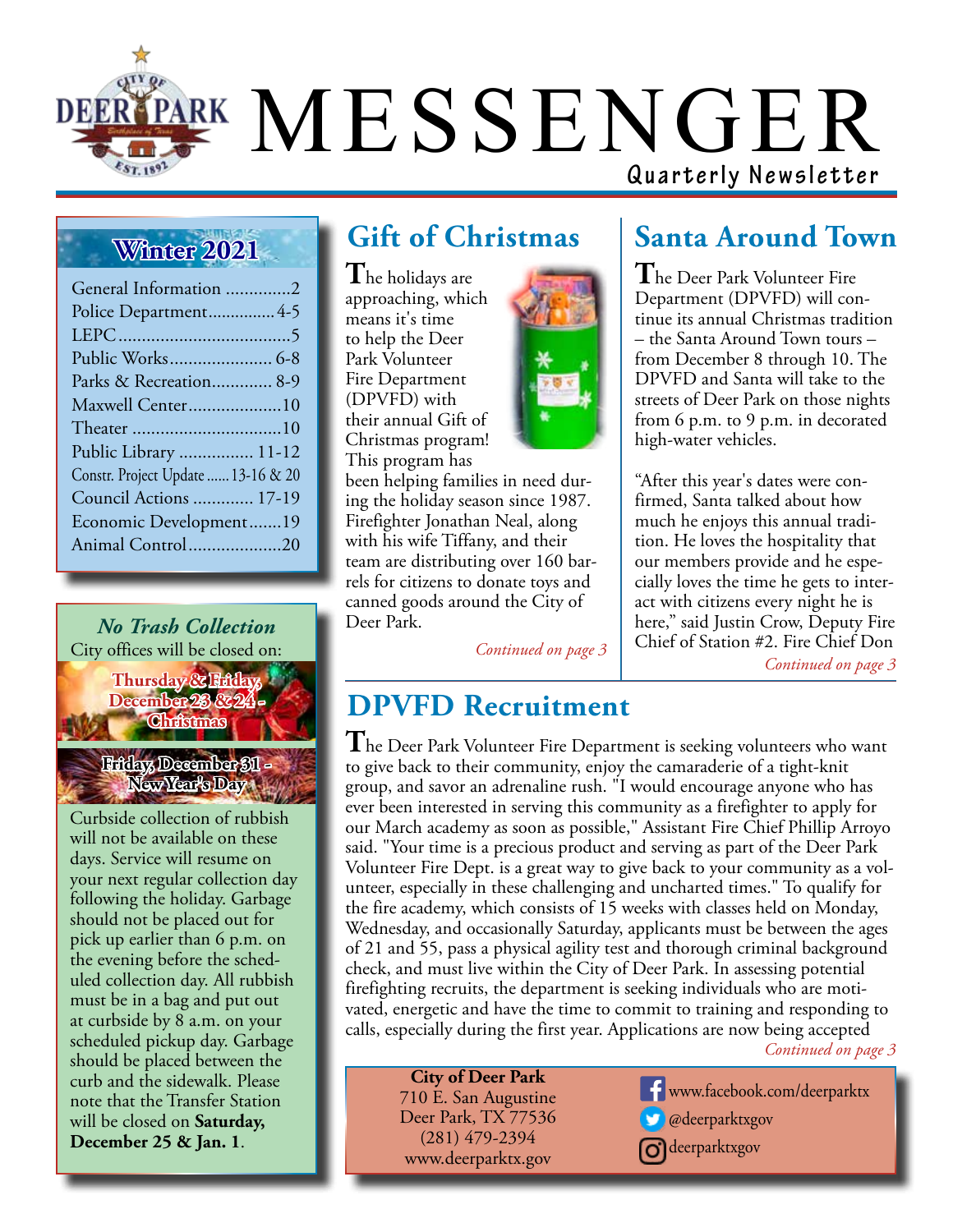

### **Winter 2021**

| General Information 2              |
|------------------------------------|
| Police Department 4-5              |
|                                    |
|                                    |
| Parks & Recreation 8-9             |
| Maxwell Center10                   |
|                                    |
| Public Library  11-12              |
| Constr. Project Update  13-16 & 20 |
| Council Actions  17-19             |
| Economic Development19             |
| Animal Control20                   |

*No Trash Collection* City offices will be closed on:

> **Thursday & Friday, December 23 & Christmas**

**Friday, December 31 - New Year's Day**

Curbside collection of rubbish will not be available on these days. Service will resume on your next regular collection day following the holiday. Garbage should not be placed out for pick up earlier than 6 p.m. on the evening before the scheduled collection day. All rubbish must be in a bag and put out at curbside by 8 a.m. on your scheduled pickup day. Garbage should be placed between the curb and the sidewalk. Please note that the Transfer Station will be closed on **Saturday, December 25 & Jan. 1**.

### **Gift of Christmas**

**T**he holidays are approaching, which means it's time to help the Deer Park Volunteer Fire Department (DPVFD) with their annual Gift of Christmas program! This program has



been helping families in need during the holiday season since 1987. Firefighter Jonathan Neal, along with his wife Tiffany, and their team are distributing over 160 barrels for citizens to donate toys and canned goods around the City of Deer Park.

*Continued on page 3*

### **Santa Around Town**

**T**he Deer Park Volunteer Fire Department (DPVFD) will continue its annual Christmas tradition – the Santa Around Town tours – from December 8 through 10. The DPVFD and Santa will take to the streets of Deer Park on those nights from 6 p.m. to 9 p.m. in decorated high-water vehicles.

"After this year's dates were confirmed, Santa talked about how much he enjoys this annual tradition. He loves the hospitality that our members provide and he especially loves the time he gets to interact with citizens every night he is here," said Justin Crow, Deputy Fire Chief of Station #2. Fire Chief Don

*Continued on page 3*

### **DPVFD Recruitment**

**T**he Deer Park Volunteer Fire Department is seeking volunteers who want to give back to their community, enjoy the camaraderie of a tight-knit group, and savor an adrenaline rush. "I would encourage anyone who has ever been interested in serving this community as a firefighter to apply for our March academy as soon as possible," Assistant Fire Chief Phillip Arroyo said. "Your time is a precious product and serving as part of the Deer Park Volunteer Fire Dept. is a great way to give back to your community as a volunteer, especially in these challenging and uncharted times." To qualify for the fire academy, which consists of 15 weeks with classes held on Monday, Wednesday, and occasionally Saturday, applicants must be between the ages of 21 and 55, pass a physical agility test and thorough criminal background check, and must live within the City of Deer Park. In assessing potential firefighting recruits, the department is seeking individuals who are motivated, energetic and have the time to commit to training and responding to calls, especially during the first year. Applications are now being accepted

*Continued on page 3*

**City of Deer Park** 710 E. San Augustine Deer Park, TX 77536 (281) 479-2394 www.deerparktx.gov

www.facebook.com/deerparktx **Comparent** Wedeerparktxgov **d**deerparktxgov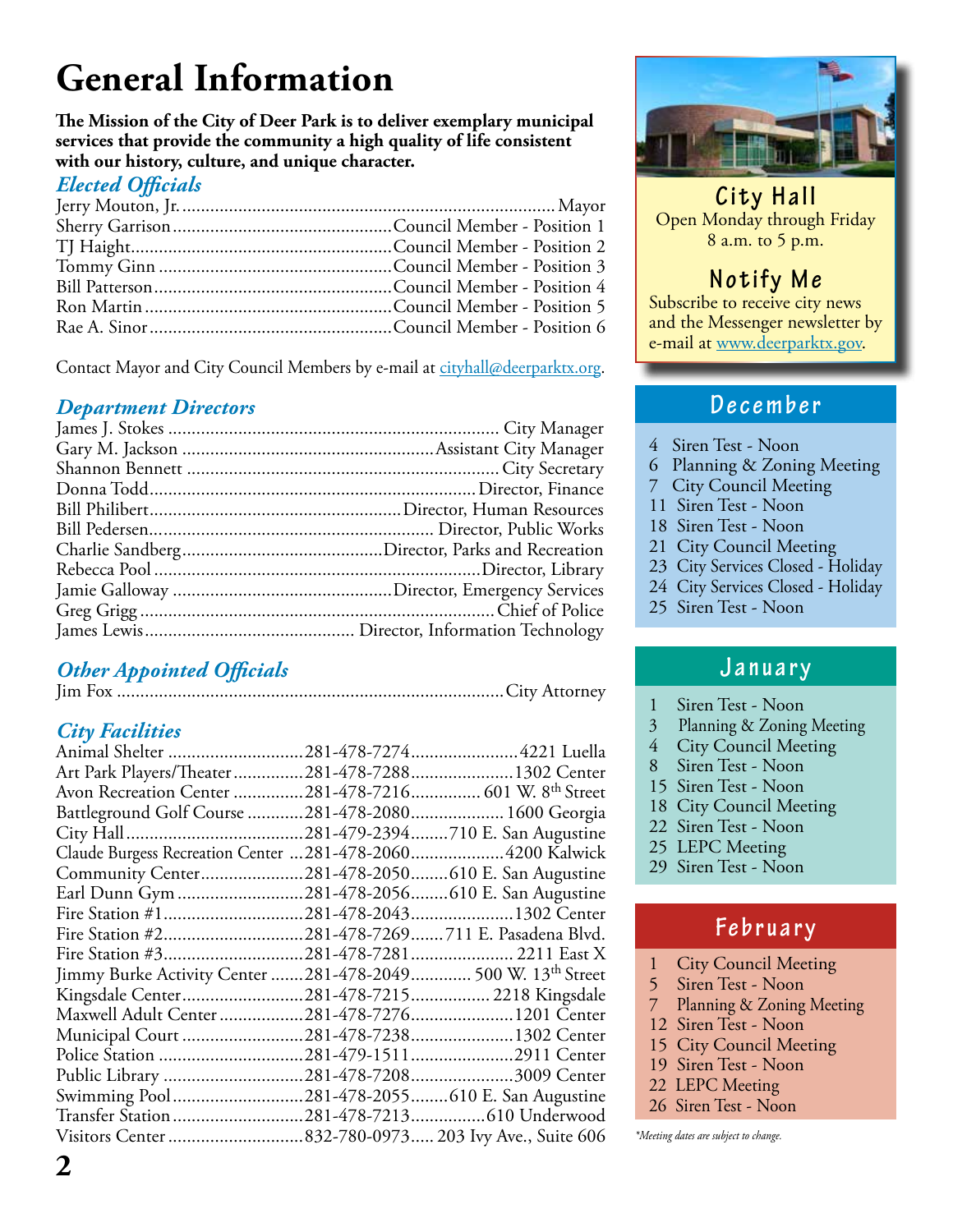# **General Information**

**The Mission of the City of Deer Park is to deliver exemplary municipal services that provide the community a high quality of life consistent with our history, culture, and unique character.**

#### *Elected Officials*

Contact Mayor and City Council Members by e-mail at cityhall@deerparktx.org.

#### *Department Directors*

### *Other Appointed Officials*

Jim Fox ...................................................................................City Attorney

#### *City Facilities*

| Animal Shelter                                              |                                   |
|-------------------------------------------------------------|-----------------------------------|
| Art Park Players/Theater 281-478-7288 1302 Center           |                                   |
| Avon Recreation Center 281-478-7216 601 W. 8th Street       |                                   |
| Battleground Golf Course 281-478-2080 1600 Georgia          |                                   |
|                                                             | .281-479-2394710 E. San Augustine |
| Claude Burgess Recreation Center  281-478-2060 4200 Kalwick |                                   |
| Community Center281-478-2050610 E. San Augustine            |                                   |
| Earl Dunn Gym 281-478-2056610 E. San Augustine              |                                   |
| Fire Station #1281-478-20431302 Center                      |                                   |
| Fire Station #2281-478-7269711 E. Pasadena Blvd.            |                                   |
|                                                             | .281-478-7281 2211 East X         |
| Jimmy Burke Activity Center 281-478-2049 500 W. 13th Street |                                   |
| Kingsdale Center281-478-7215 2218 Kingsdale                 |                                   |
| Maxwell Adult Center                                        | .281-478-72761201 Center          |
|                                                             | .281-478-72381302 Center          |
|                                                             | .281-479-15112911 Center          |
|                                                             | .281-478-72083009 Center          |
| Swimming Pool                                               | .281-478-2055610 E. San Augustine |
|                                                             | .281-478-7213610 Underwood        |
|                                                             |                                   |
|                                                             |                                   |



**City Hall** Open Monday through Friday 8 a.m. to 5 p.m.

### **Notify Me**

Subscribe to receive city news and the Messenger newsletter by e-mail at www.deerparktx.gov.

#### **December**

- 4 Siren Test Noon
- 6 Planning & Zoning Meeting
- 7 City Council Meeting
- 11 Siren Test Noon
- 18 Siren Test Noon
- 21 City Council Meeting
- 23 City Services Closed Holiday
- 24 City Services Closed Holiday
- 25 Siren Test Noon

#### **January**

- 1 Siren Test Noon
- 3 Planning & Zoning Meeting
- 4 City Council Meeting
- 8 Siren Test Noon
- 15 Siren Test Noon
- 18 City Council Meeting
- 22 Siren Test Noon
- 25 LEPC Meeting
- 29 Siren Test Noon

#### **February**

- 1 City Council Meeting
- 5 Siren Test Noon
- 7 Planning & Zoning Meeting
- 12 Siren Test Noon
- 15 City Council Meeting
- 19 Siren Test Noon
- 22 LEPC Meeting
- 26 Siren Test Noon

\*Meeting dates are subject to change.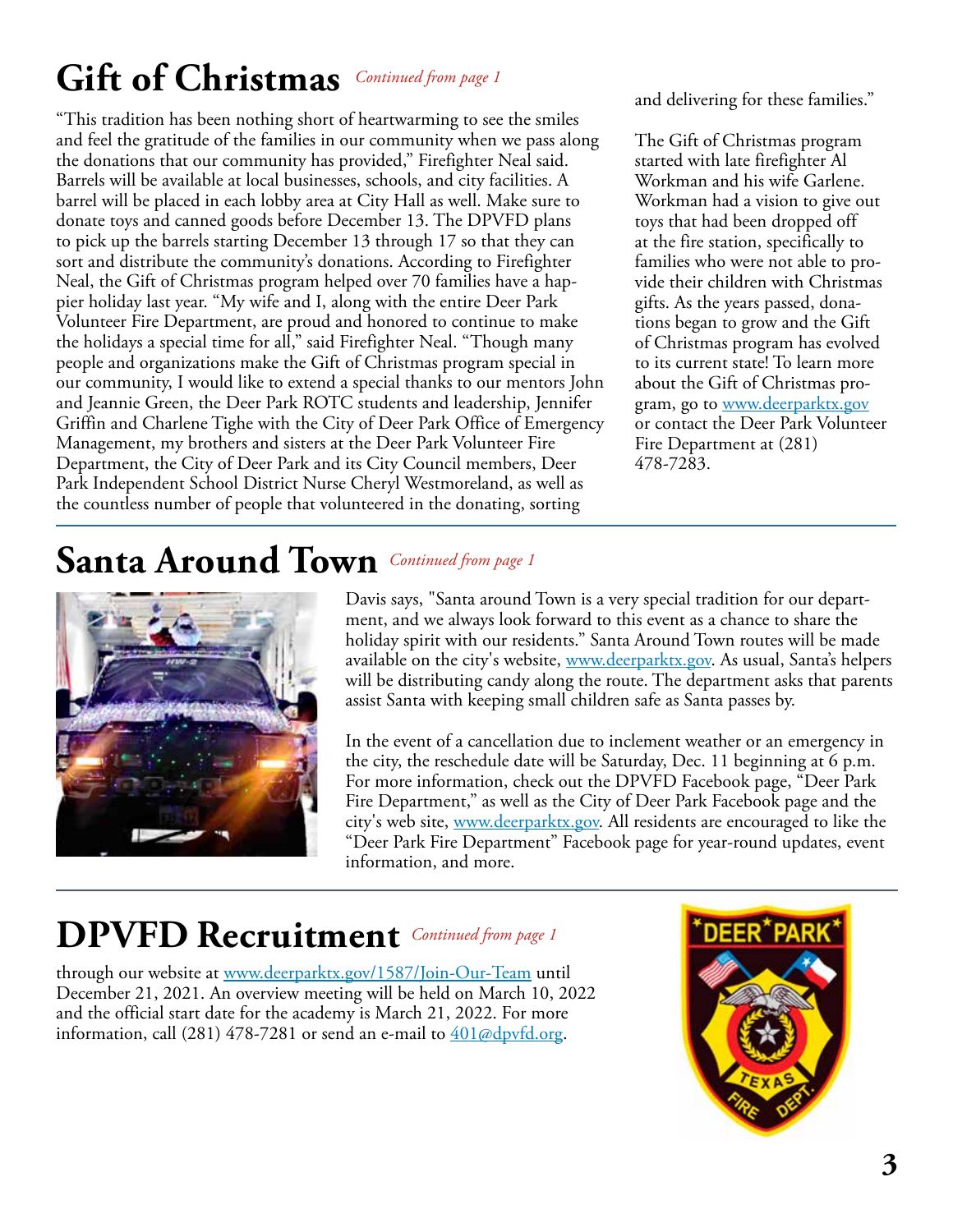# **Gift of Christmas** *Continued from page 1*

"This tradition has been nothing short of heartwarming to see the smiles and feel the gratitude of the families in our community when we pass along the donations that our community has provided," Firefighter Neal said. Barrels will be available at local businesses, schools, and city facilities. A barrel will be placed in each lobby area at City Hall as well. Make sure to donate toys and canned goods before December 13. The DPVFD plans to pick up the barrels starting December 13 through 17 so that they can sort and distribute the community's donations. According to Firefighter Neal, the Gift of Christmas program helped over 70 families have a happier holiday last year. "My wife and I, along with the entire Deer Park Volunteer Fire Department, are proud and honored to continue to make the holidays a special time for all," said Firefighter Neal. "Though many people and organizations make the Gift of Christmas program special in our community, I would like to extend a special thanks to our mentors John and Jeannie Green, the Deer Park ROTC students and leadership, Jennifer Griffin and Charlene Tighe with the City of Deer Park Office of Emergency Management, my brothers and sisters at the Deer Park Volunteer Fire Department, the City of Deer Park and its City Council members, Deer Park Independent School District Nurse Cheryl Westmoreland, as well as the countless number of people that volunteered in the donating, sorting

and delivering for these families."

The Gift of Christmas program started with late firefighter Al Workman and his wife Garlene. Workman had a vision to give out toys that had been dropped off at the fire station, specifically to families who were not able to provide their children with Christmas gifts. As the years passed, donations began to grow and the Gift of Christmas program has evolved to its current state! To learn more about the Gift of Christmas program, go to www.deerparktx.gov or contact the Deer Park Volunteer Fire Department at (281) 478-7283.

### **Santa Around Town** *Continued from page 1*



Davis says, "Santa around Town is a very special tradition for our department, and we always look forward to this event as a chance to share the holiday spirit with our residents." Santa Around Town routes will be made available on the city's website, www.deerparktx.gov. As usual, Santa's helpers will be distributing candy along the route. The department asks that parents assist Santa with keeping small children safe as Santa passes by.

In the event of a cancellation due to inclement weather or an emergency in the city, the reschedule date will be Saturday, Dec. 11 beginning at 6 p.m. For more information, check out the DPVFD Facebook page, "Deer Park Fire Department," as well as the City of Deer Park Facebook page and the city's web site, www.deerparktx.gov. All residents are encouraged to like the "Deer Park Fire Department" Facebook page for year-round updates, event information, and more.

### **DPVFD Recruitment** *Continued from page 1*

through our website at www.deerparktx.gov/1587/Join-Our-Team until December 21, 2021. An overview meeting will be held on March 10, 2022 and the official start date for the academy is March 21, 2022. For more information, call (281) 478-7281 or send an e-mail to  $401\omega$ dpvfd.org.

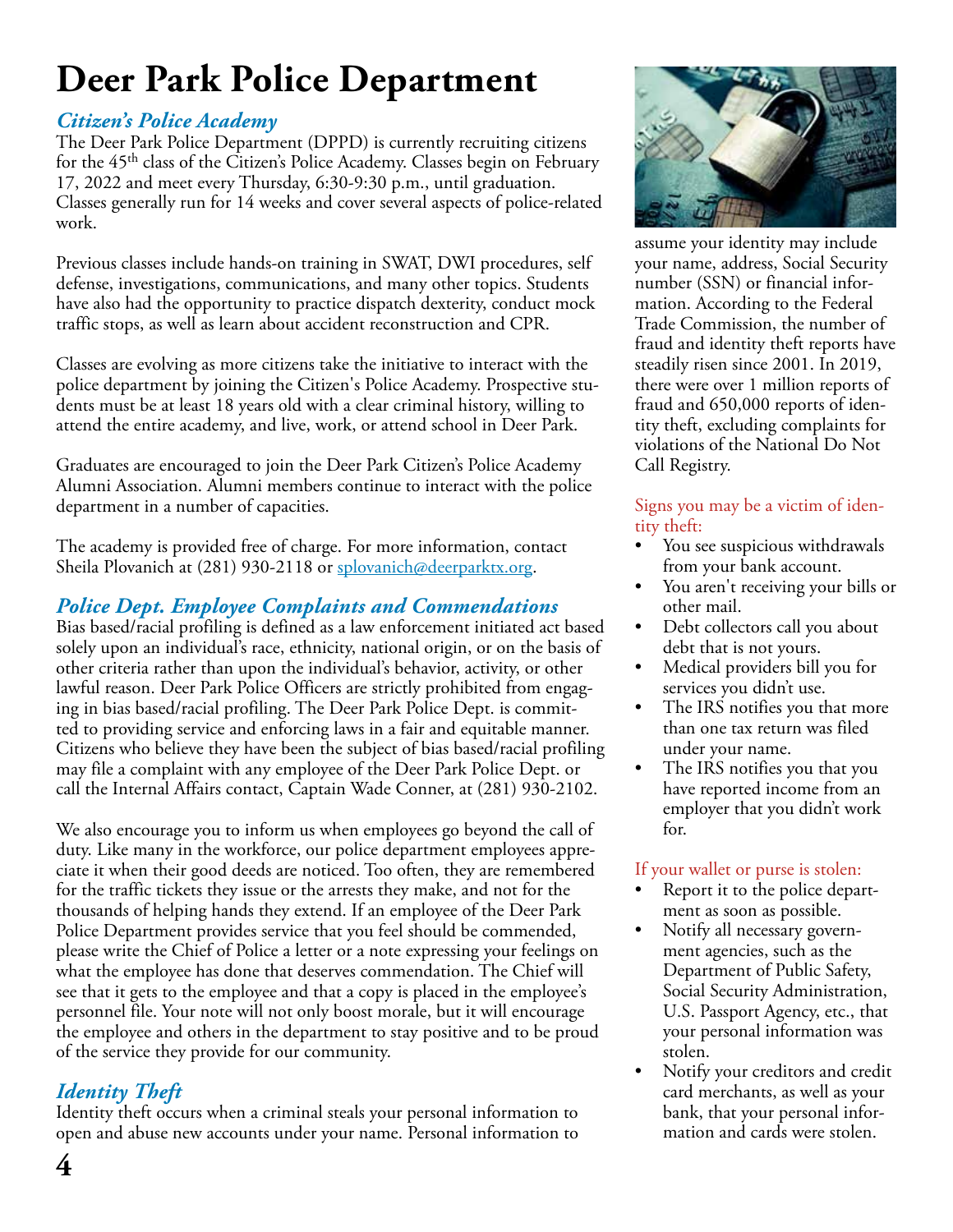# **Deer Park Police Department**

#### *Citizen's Police Academy*

The Deer Park Police Department (DPPD) is currently recruiting citizens for the 45<sup>th</sup> class of the Citizen's Police Academy. Classes begin on February 17, 2022 and meet every Thursday, 6:30-9:30 p.m., until graduation. Classes generally run for 14 weeks and cover several aspects of police-related work.

Previous classes include hands-on training in SWAT, DWI procedures, self defense, investigations, communications, and many other topics. Students have also had the opportunity to practice dispatch dexterity, conduct mock traffic stops, as well as learn about accident reconstruction and CPR.

Classes are evolving as more citizens take the initiative to interact with the police department by joining the Citizen's Police Academy. Prospective students must be at least 18 years old with a clear criminal history, willing to attend the entire academy, and live, work, or attend school in Deer Park.

Graduates are encouraged to join the Deer Park Citizen's Police Academy Alumni Association. Alumni members continue to interact with the police department in a number of capacities.

The academy is provided free of charge. For more information, contact Sheila Plovanich at (281) 930-2118 or splovanich@deerparktx.org.

#### *Police Dept. Employee Complaints and Commendations*

Bias based/racial profiling is defined as a law enforcement initiated act based solely upon an individual's race, ethnicity, national origin, or on the basis of other criteria rather than upon the individual's behavior, activity, or other lawful reason. Deer Park Police Officers are strictly prohibited from engaging in bias based/racial profiling. The Deer Park Police Dept. is committed to providing service and enforcing laws in a fair and equitable manner. Citizens who believe they have been the subject of bias based/racial profiling may file a complaint with any employee of the Deer Park Police Dept. or call the Internal Affairs contact, Captain Wade Conner, at (281) 930-2102.

We also encourage you to inform us when employees go beyond the call of duty. Like many in the workforce, our police department employees appreciate it when their good deeds are noticed. Too often, they are remembered for the traffic tickets they issue or the arrests they make, and not for the thousands of helping hands they extend. If an employee of the Deer Park Police Department provides service that you feel should be commended, please write the Chief of Police a letter or a note expressing your feelings on what the employee has done that deserves commendation. The Chief will see that it gets to the employee and that a copy is placed in the employee's personnel file. Your note will not only boost morale, but it will encourage the employee and others in the department to stay positive and to be proud of the service they provide for our community.

### *Identity Theft*

Identity theft occurs when a criminal steals your personal information to open and abuse new accounts under your name. Personal information to



assume your identity may include your name, address, Social Security number (SSN) or financial information. According to the Federal Trade Commission, the number of fraud and identity theft reports have steadily risen since 2001. In 2019, there were over 1 million reports of fraud and 650,000 reports of identity theft, excluding complaints for violations of the National Do Not Call Registry.

#### Signs you may be a victim of identity theft:

- You see suspicious withdrawals from your bank account.
- You aren't receiving your bills or other mail.
- Debt collectors call you about debt that is not yours.
- Medical providers bill you for services you didn't use.
- The IRS notifies you that more than one tax return was filed under your name.
- The IRS notifies you that you have reported income from an employer that you didn't work for.

#### If your wallet or purse is stolen:

- Report it to the police department as soon as possible.
- Notify all necessary government agencies, such as the Department of Public Safety, Social Security Administration, U.S. Passport Agency, etc., that your personal information was stolen.
- Notify your creditors and credit card merchants, as well as your bank, that your personal information and cards were stolen.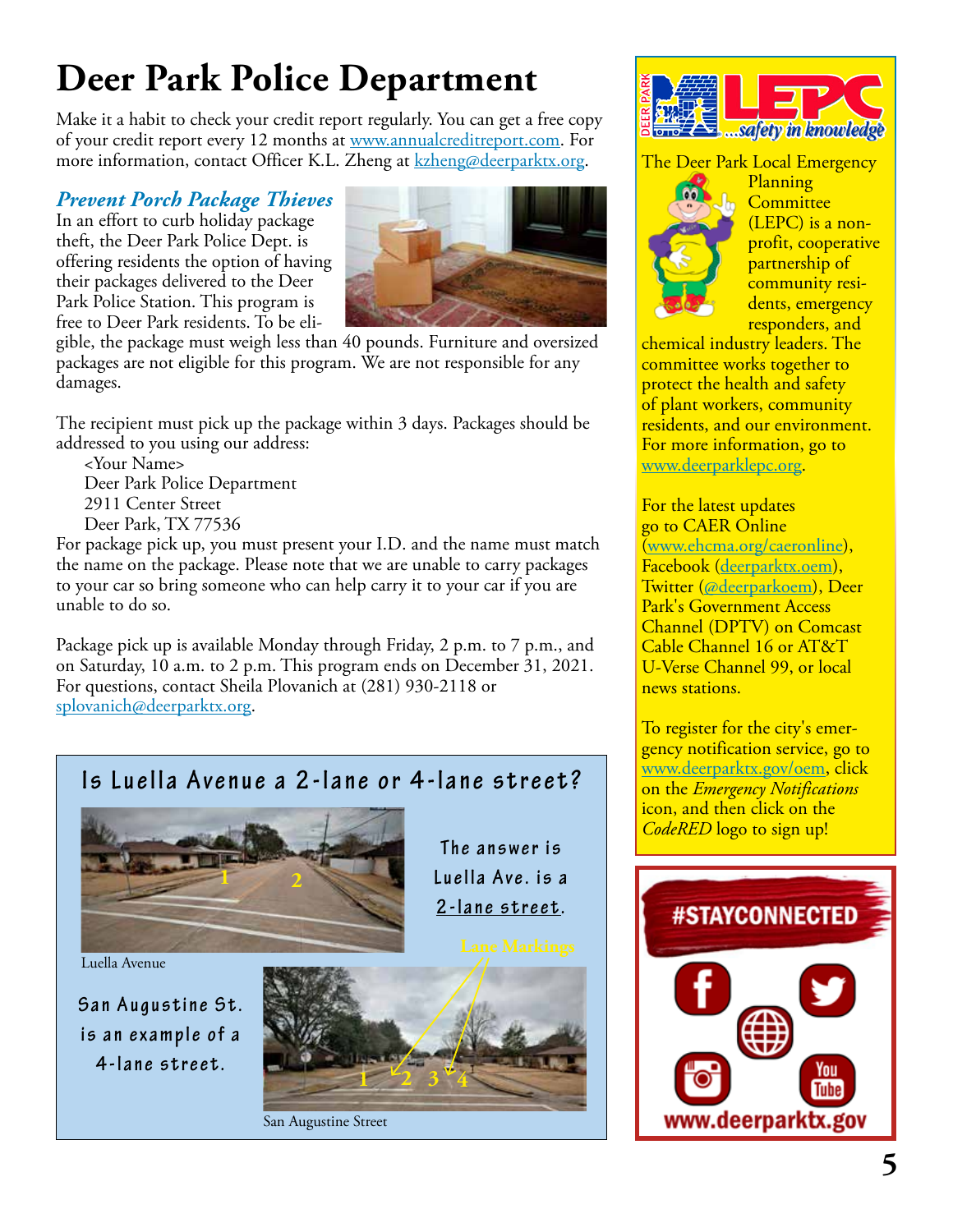### **Deer Park Police Department**

Make it a habit to check your credit report regularly. You can get a free copy of your credit report every 12 months at www.annualcreditreport.com. For more information, contact Officer K.L. Zheng at **kzheng@deerparktx.org**.

#### *Prevent Porch Package Thieves*

In an effort to curb holiday package theft, the Deer Park Police Dept. is offering residents the option of having their packages delivered to the Deer Park Police Station. This program is free to Deer Park residents. To be eli-



gible, the package must weigh less than 40 pounds. Furniture and oversized packages are not eligible for this program. We are not responsible for any damages.

The recipient must pick up the package within 3 days. Packages should be addressed to you using our address:

 <Your Name> Deer Park Police Department 2911 Center Street Deer Park, TX 77536

For package pick up, you must present your I.D. and the name must match the name on the package. Please note that we are unable to carry packages to your car so bring someone who can help carry it to your car if you are unable to do so.

Package pick up is available Monday through Friday, 2 p.m. to 7 p.m., and on Saturday, 10 a.m. to 2 p.m. This program ends on December 31, 2021. For questions, contact Sheila Plovanich at (281) 930-2118 or splovanich@deerparktx.org.

### **Is Luella Avenue a 2-lane or 4-lane street?**



Luella Avenue

**San Augustine St.** is an example of a **4-lane street.**





San Augustine Street



The Deer Park Local Emergency



Planning **Committee** (LEPC) is a nonprofit, cooperative partnership of community residents, emergency responders, and

chemical industry leaders. The committee works together to protect the health and safety of plant workers, community residents, and our environment. For more information, go to www.deerparklepc.org.

For the latest updates go to CAER Online (www.ehcma.org/caeronline), Facebook (deerparktx.oem), Twitter (@deerparkoem), Deer Park's Government Access Channel (DPTV) on Comcast Cable Channel 16 or AT&T U-Verse Channel 99, or local news stations.

To register for the city's emergency notification service, go to www.deerparktx.gov/oem, click on the *Emergency Notifications* icon, and then click on the *CodeRED* logo to sign up!

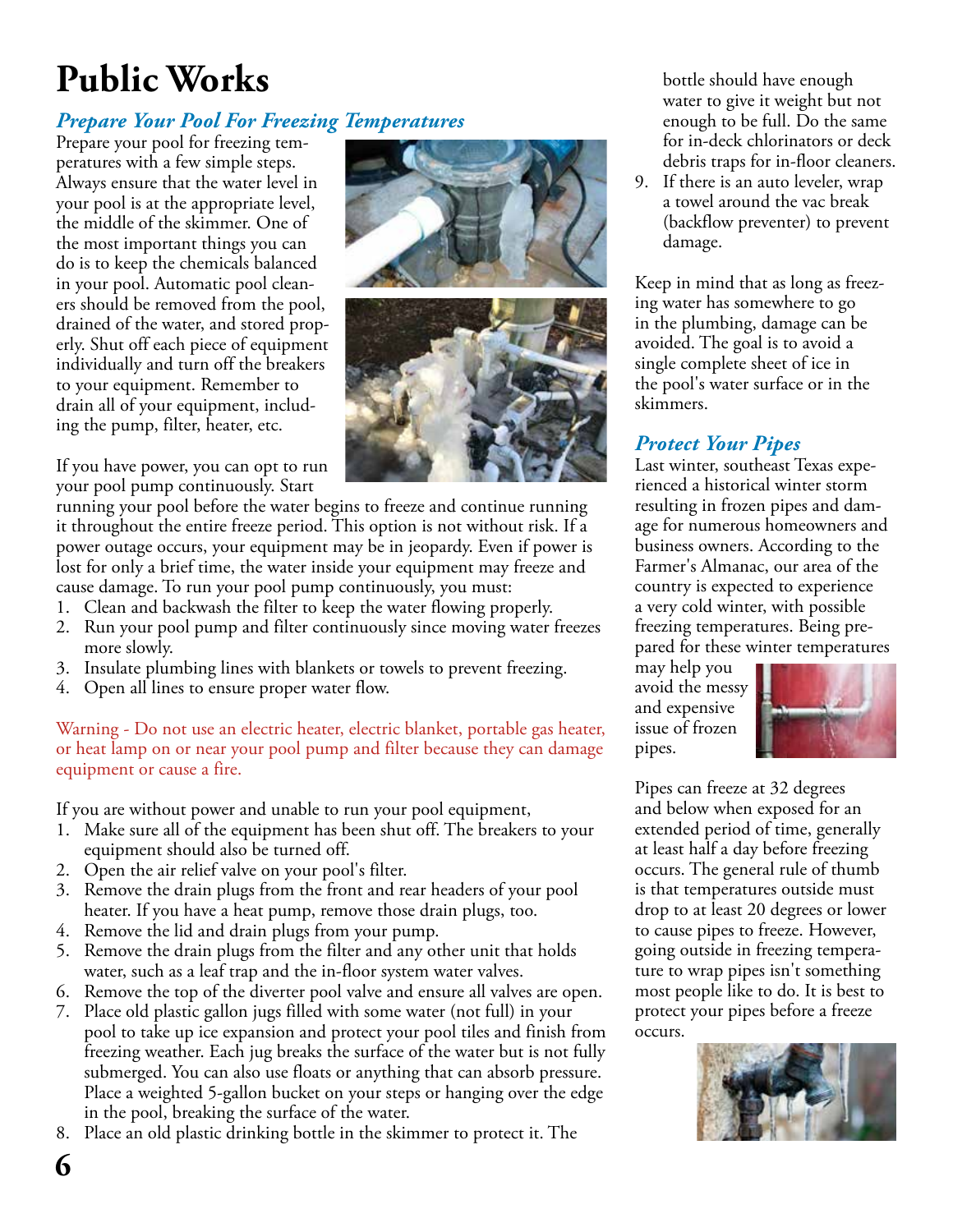# **Public Works**

#### *Prepare Your Pool For Freezing Temperatures*

Prepare your pool for freezing temperatures with a few simple steps. Always ensure that the water level in your pool is at the appropriate level, the middle of the skimmer. One of the most important things you can do is to keep the chemicals balanced in your pool. Automatic pool cleaners should be removed from the pool, drained of the water, and stored properly. Shut off each piece of equipment individually and turn off the breakers to your equipment. Remember to drain all of your equipment, including the pump, filter, heater, etc.

If you have power, you can opt to run your pool pump continuously. Start

running your pool before the water begins to freeze and continue running it throughout the entire freeze period. This option is not without risk. If a power outage occurs, your equipment may be in jeopardy. Even if power is lost for only a brief time, the water inside your equipment may freeze and cause damage. To run your pool pump continuously, you must:

- 1. Clean and backwash the filter to keep the water flowing properly.
- 2. Run your pool pump and filter continuously since moving water freezes more slowly.
- 3. Insulate plumbing lines with blankets or towels to prevent freezing.
- 4. Open all lines to ensure proper water flow.

Warning - Do not use an electric heater, electric blanket, portable gas heater, or heat lamp on or near your pool pump and filter because they can damage equipment or cause a fire.

If you are without power and unable to run your pool equipment,

- 1. Make sure all of the equipment has been shut off. The breakers to your equipment should also be turned off.
- 2. Open the air relief valve on your pool's filter.
- 3. Remove the drain plugs from the front and rear headers of your pool heater. If you have a heat pump, remove those drain plugs, too.
- 4. Remove the lid and drain plugs from your pump.
- 5. Remove the drain plugs from the filter and any other unit that holds water, such as a leaf trap and the in-floor system water valves.
- 6. Remove the top of the diverter pool valve and ensure all valves are open.
- 7. Place old plastic gallon jugs filled with some water (not full) in your pool to take up ice expansion and protect your pool tiles and finish from freezing weather. Each jug breaks the surface of the water but is not fully submerged. You can also use floats or anything that can absorb pressure. Place a weighted 5-gallon bucket on your steps or hanging over the edge in the pool, breaking the surface of the water.
- 8. Place an old plastic drinking bottle in the skimmer to protect it. The

bottle should have enough water to give it weight but not enough to be full. Do the same for in-deck chlorinators or deck debris traps for in-floor cleaners.

9. If there is an auto leveler, wrap a towel around the vac break (backflow preventer) to prevent damage.

Keep in mind that as long as freezing water has somewhere to go in the plumbing, damage can be avoided. The goal is to avoid a single complete sheet of ice in the pool's water surface or in the skimmers.

#### *Protect Your Pipes*

Last winter, southeast Texas experienced a historical winter storm resulting in frozen pipes and damage for numerous homeowners and business owners. According to the Farmer's Almanac, our area of the country is expected to experience a very cold winter, with possible freezing temperatures. Being prepared for these winter temperatures

may help you avoid the messy and expensive issue of frozen pipes.



Pipes can freeze at 32 degrees and below when exposed for an extended period of time, generally at least half a day before freezing occurs. The general rule of thumb is that temperatures outside must drop to at least 20 degrees or lower to cause pipes to freeze. However, going outside in freezing temperature to wrap pipes isn't something most people like to do. It is best to protect your pipes before a freeze occurs.



**6**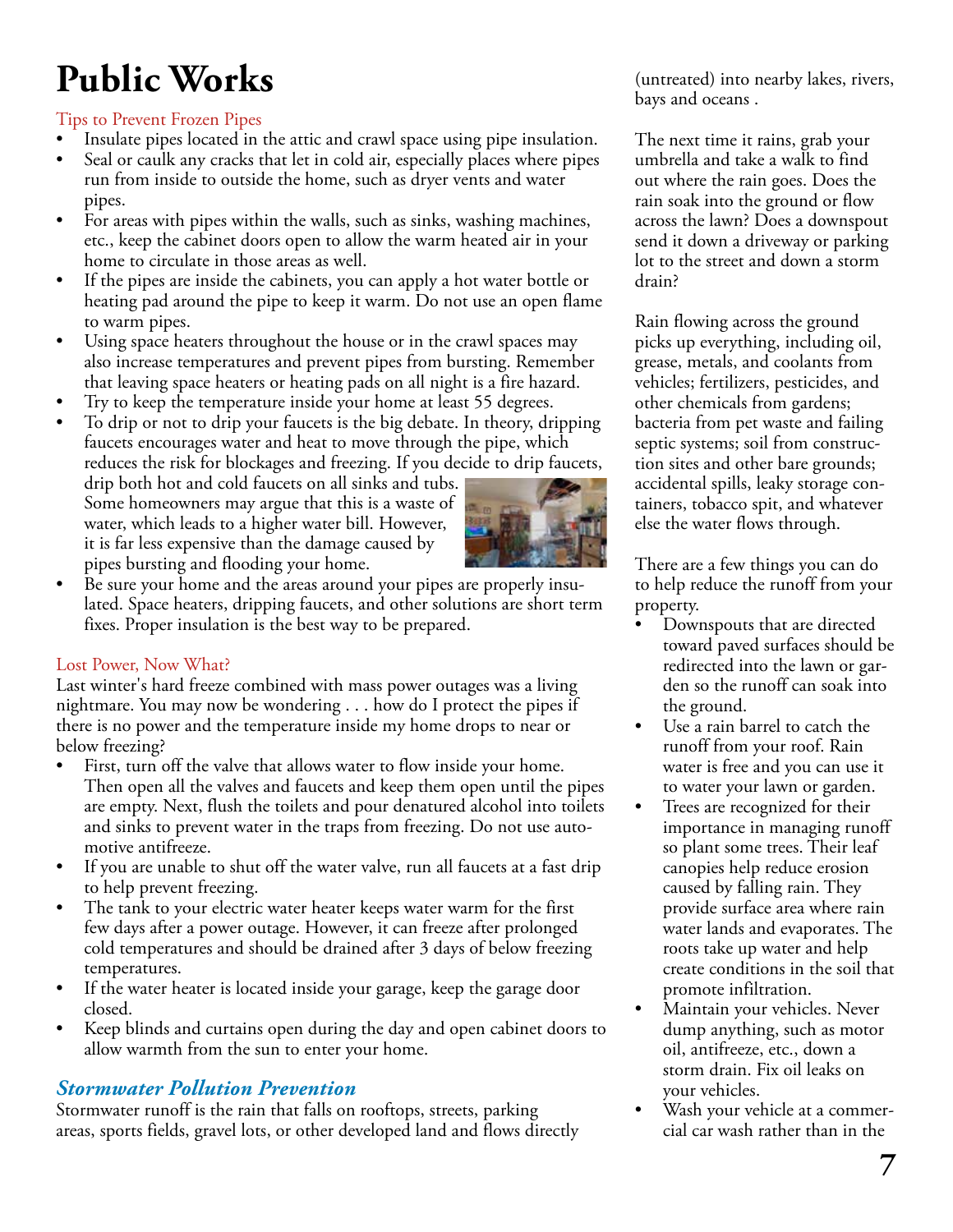# **Public Works**

#### Tips to Prevent Frozen Pipes

- Insulate pipes located in the attic and crawl space using pipe insulation.
- Seal or caulk any cracks that let in cold air, especially places where pipes run from inside to outside the home, such as dryer vents and water pipes.
- For areas with pipes within the walls, such as sinks, washing machines, etc., keep the cabinet doors open to allow the warm heated air in your home to circulate in those areas as well.
- If the pipes are inside the cabinets, you can apply a hot water bottle or heating pad around the pipe to keep it warm. Do not use an open flame to warm pipes.
- Using space heaters throughout the house or in the crawl spaces may also increase temperatures and prevent pipes from bursting. Remember that leaving space heaters or heating pads on all night is a fire hazard.
- Try to keep the temperature inside your home at least 55 degrees.
- To drip or not to drip your faucets is the big debate. In theory, dripping faucets encourages water and heat to move through the pipe, which reduces the risk for blockages and freezing. If you decide to drip faucets,

drip both hot and cold faucets on all sinks and tubs. Some homeowners may argue that this is a waste of water, which leads to a higher water bill. However, it is far less expensive than the damage caused by pipes bursting and flooding your home.



• Be sure your home and the areas around your pipes are properly insulated. Space heaters, dripping faucets, and other solutions are short term fixes. Proper insulation is the best way to be prepared.

#### Lost Power, Now What?

Last winter's hard freeze combined with mass power outages was a living nightmare. You may now be wondering . . . how do I protect the pipes if there is no power and the temperature inside my home drops to near or below freezing?

- First, turn off the valve that allows water to flow inside your home. Then open all the valves and faucets and keep them open until the pipes are empty. Next, flush the toilets and pour denatured alcohol into toilets and sinks to prevent water in the traps from freezing. Do not use automotive antifreeze.
- If you are unable to shut off the water valve, run all faucets at a fast drip to help prevent freezing.
- The tank to your electric water heater keeps water warm for the first few days after a power outage. However, it can freeze after prolonged cold temperatures and should be drained after 3 days of below freezing temperatures.
- If the water heater is located inside your garage, keep the garage door closed.
- Keep blinds and curtains open during the day and open cabinet doors to allow warmth from the sun to enter your home.

#### *Stormwater Pollution Prevention*

Stormwater runoff is the rain that falls on rooftops, streets, parking areas, sports fields, gravel lots, or other developed land and flows directly (untreated) into nearby lakes, rivers, bays and oceans .

The next time it rains, grab your umbrella and take a walk to find out where the rain goes. Does the rain soak into the ground or flow across the lawn? Does a downspout send it down a driveway or parking lot to the street and down a storm drain?

Rain flowing across the ground picks up everything, including oil, grease, metals, and coolants from vehicles; fertilizers, pesticides, and other chemicals from gardens; bacteria from pet waste and failing septic systems; soil from construction sites and other bare grounds; accidental spills, leaky storage containers, tobacco spit, and whatever else the water flows through.

There are a few things you can do to help reduce the runoff from your property.

- Downspouts that are directed toward paved surfaces should be redirected into the lawn or garden so the runoff can soak into the ground.
- Use a rain barrel to catch the runoff from your roof. Rain water is free and you can use it to water your lawn or garden.
- Trees are recognized for their importance in managing runoff so plant some trees. Their leaf canopies help reduce erosion caused by falling rain. They provide surface area where rain water lands and evaporates. The roots take up water and help create conditions in the soil that promote infiltration.
- Maintain your vehicles. Never dump anything, such as motor oil, antifreeze, etc., down a storm drain. Fix oil leaks on your vehicles.
- Wash your vehicle at a commercial car wash rather than in the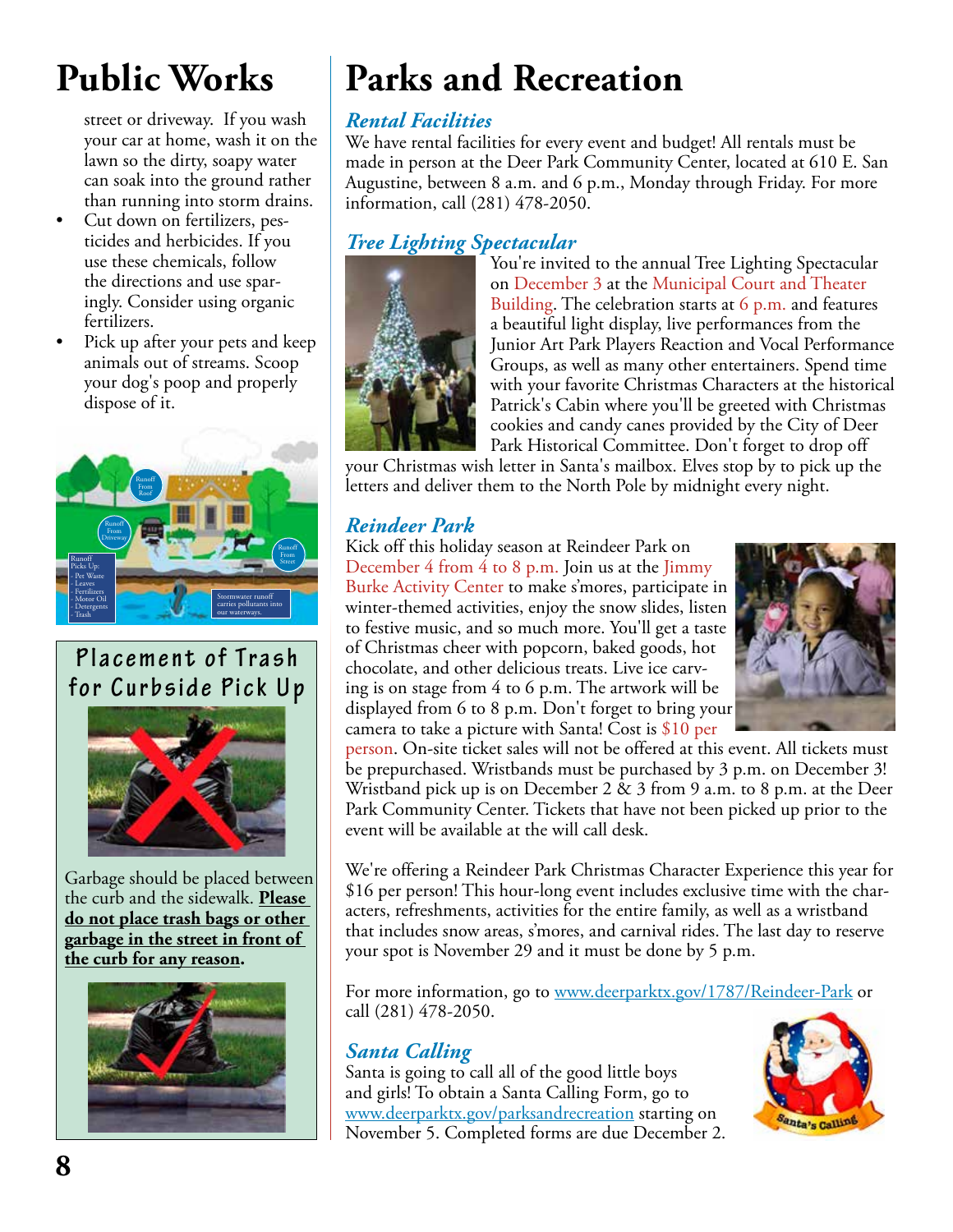### **Public Works**

street or driveway. If you wash your car at home, wash it on the lawn so the dirty, soapy water can soak into the ground rather than running into storm drains.

- Cut down on fertilizers, pesticides and herbicides. If you use these chemicals, follow the directions and use sparingly. Consider using organic fertilizers.
- Pick up after your pets and keep animals out of streams. Scoop your dog's poop and properly dispose of it.



### **P l a c e m e n t o f T r a s h for Curbside Pick Up**



Garbage should be placed between the curb and the sidewalk. **Please do not place trash bags or other garbage in the street in front of the curb for any reason.**



# **Parks and Recreation**

#### *Rental Facilities*

We have rental facilities for every event and budget! All rentals must be made in person at the Deer Park Community Center, located at 610 E. San Augustine, between 8 a.m. and 6 p.m., Monday through Friday. For more information, call (281) 478-2050.

#### *Tree Lighting Spectacular*



You're invited to the annual Tree Lighting Spectacular on December 3 at the Municipal Court and Theater Building. The celebration starts at 6 p.m. and features a beautiful light display, live performances from the Junior Art Park Players Reaction and Vocal Performance Groups, as well as many other entertainers. Spend time with your favorite Christmas Characters at the historical Patrick's Cabin where you'll be greeted with Christmas cookies and candy canes provided by the City of Deer Park Historical Committee. Don't forget to drop off

your Christmas wish letter in Santa's mailbox. Elves stop by to pick up the letters and deliver them to the North Pole by midnight every night.

#### *Reindeer Park*

Kick off this holiday season at Reindeer Park on December 4 from 4 to 8 p.m. Join us at the Jimmy Burke Activity Center to make s'mores, participate in winter-themed activities, enjoy the snow slides, listen to festive music, and so much more. You'll get a taste of Christmas cheer with popcorn, baked goods, hot chocolate, and other delicious treats. Live ice carving is on stage from 4 to 6 p.m. The artwork will be displayed from 6 to 8 p.m. Don't forget to bring your camera to take a picture with Santa! Cost is \$10 per



person. On-site ticket sales will not be offered at this event. All tickets must be prepurchased. Wristbands must be purchased by 3 p.m. on December 3! Wristband pick up is on December 2 & 3 from 9 a.m. to 8 p.m. at the Deer Park Community Center. Tickets that have not been picked up prior to the event will be available at the will call desk.

We're offering a Reindeer Park Christmas Character Experience this year for \$16 per person! This hour-long event includes exclusive time with the characters, refreshments, activities for the entire family, as well as a wristband that includes snow areas, s'mores, and carnival rides. The last day to reserve your spot is November 29 and it must be done by 5 p.m.

For more information, go to www.deerparktx.gov/1787/Reindeer-Park or call (281) 478-2050.

#### *Santa Calling*

Santa is going to call all of the good little boys and girls! To obtain a Santa Calling Form, go to www.deerparktx.gov/parksandrecreation starting on November 5. Completed forms are due December 2.

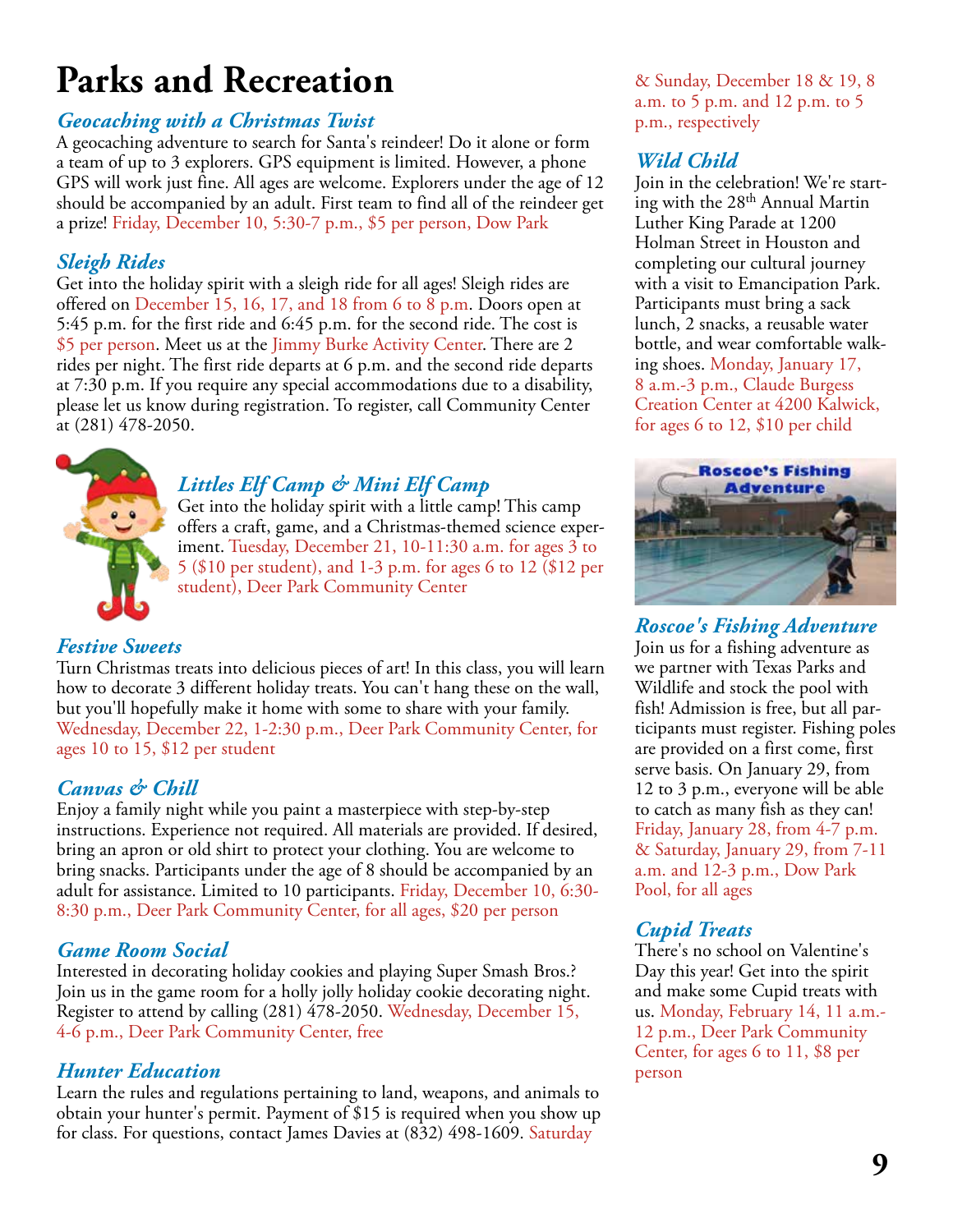### **Parks and Recreation**

#### *Geocaching with a Christmas Twist*

A geocaching adventure to search for Santa's reindeer! Do it alone or form a team of up to 3 explorers. GPS equipment is limited. However, a phone GPS will work just fine. All ages are welcome. Explorers under the age of 12 should be accompanied by an adult. First team to find all of the reindeer get a prize! Friday, December 10, 5:30-7 p.m., \$5 per person, Dow Park

#### *Sleigh Rides*

Get into the holiday spirit with a sleigh ride for all ages! Sleigh rides are offered on December 15, 16, 17, and 18 from 6 to 8 p.m. Doors open at 5:45 p.m. for the first ride and 6:45 p.m. for the second ride. The cost is \$5 per person. Meet us at the Jimmy Burke Activity Center. There are 2 rides per night. The first ride departs at 6 p.m. and the second ride departs at 7:30 p.m. If you require any special accommodations due to a disability, please let us know during registration. To register, call Community Center at (281) 478-2050.



#### *Littles Elf Camp & Mini Elf Camp*

Get into the holiday spirit with a little camp! This camp offers a craft, game, and a Christmas-themed science experiment. Tuesday, December 21, 10-11:30 a.m. for ages 3 to 5 (\$10 per student), and 1-3 p.m. for ages 6 to 12 (\$12 per student), Deer Park Community Center

#### *Festive Sweets*

Turn Christmas treats into delicious pieces of art! In this class, you will learn how to decorate 3 different holiday treats. You can't hang these on the wall, but you'll hopefully make it home with some to share with your family. Wednesday, December 22, 1-2:30 p.m., Deer Park Community Center, for ages 10 to 15, \$12 per student

#### *Canvas & Chill*

Enjoy a family night while you paint a masterpiece with step-by-step instructions. Experience not required. All materials are provided. If desired, bring an apron or old shirt to protect your clothing. You are welcome to bring snacks. Participants under the age of 8 should be accompanied by an adult for assistance. Limited to 10 participants. Friday, December 10, 6:30- 8:30 p.m., Deer Park Community Center, for all ages, \$20 per person

#### *Game Room Social*

Interested in decorating holiday cookies and playing Super Smash Bros.? Join us in the game room for a holly jolly holiday cookie decorating night. Register to attend by calling (281) 478-2050. Wednesday, December 15, 4-6 p.m., Deer Park Community Center, free

#### *Hunter Education*

Learn the rules and regulations pertaining to land, weapons, and animals to obtain your hunter's permit. Payment of \$15 is required when you show up for class. For questions, contact James Davies at (832) 498-1609. Saturday

& Sunday, December 18 & 19, 8 a.m. to 5 p.m. and 12 p.m. to 5 p.m., respectively

#### *Wild Child*

Join in the celebration! We're starting with the 28th Annual Martin Luther King Parade at 1200 Holman Street in Houston and completing our cultural journey with a visit to Emancipation Park. Participants must bring a sack lunch, 2 snacks, a reusable water bottle, and wear comfortable walking shoes. Monday, January 17, 8 a.m.-3 p.m., Claude Burgess Creation Center at 4200 Kalwick, for ages 6 to 12, \$10 per child



*Roscoe's Fishing Adventure* Join us for a fishing adventure as we partner with Texas Parks and Wildlife and stock the pool with fish! Admission is free, but all participants must register. Fishing poles are provided on a first come, first serve basis. On January 29, from 12 to 3 p.m., everyone will be able to catch as many fish as they can! Friday, January 28, from 4-7 p.m. & Saturday, January 29, from 7-11 a.m. and 12-3 p.m., Dow Park Pool, for all ages

#### *Cupid Treats*

There's no school on Valentine's Day this year! Get into the spirit and make some Cupid treats with us. Monday, February 14, 11 a.m.- 12 p.m., Deer Park Community Center, for ages 6 to 11, \$8 per person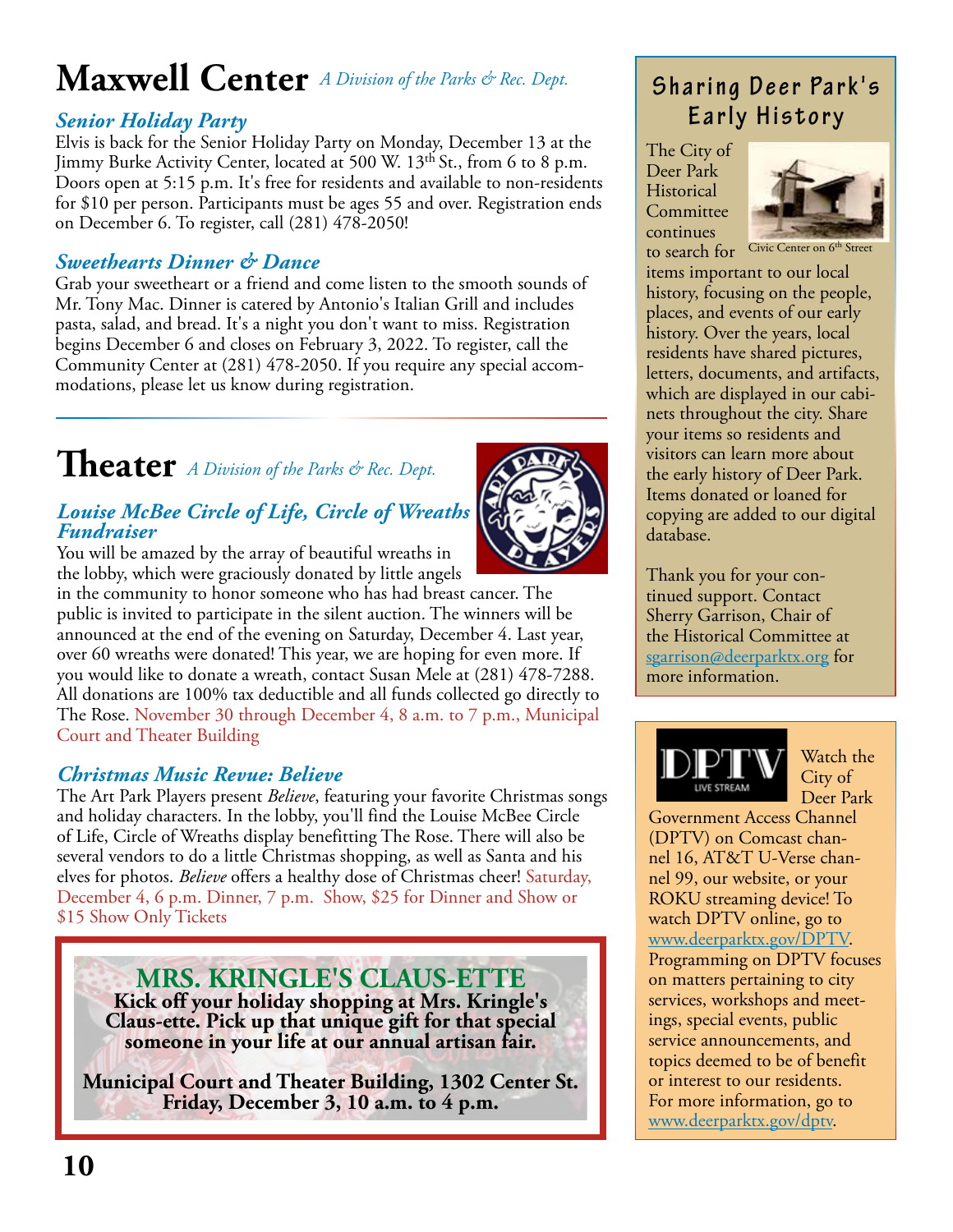### **Maxwell Center**  *A Division of the Parks & Rec. Dept.*

#### *Senior Holiday Party*

Elvis is back for the Senior Holiday Party on Monday, December 13 at the Jimmy Burke Activity Center, located at 500 W. 13th St., from 6 to 8 p.m. Doors open at 5:15 p.m. It's free for residents and available to non-residents for \$10 per person. Participants must be ages 55 and over. Registration ends on December 6. To register, call (281) 478-2050!

#### *Sweethearts Dinner & Dance*

Grab your sweetheart or a friend and come listen to the smooth sounds of Mr. Tony Mac. Dinner is catered by Antonio's Italian Grill and includes pasta, salad, and bread. It's a night you don't want to miss. Registration begins December 6 and closes on February 3, 2022. To register, call the Community Center at (281) 478-2050. If you require any special accommodations, please let us know during registration.

### **Theater** *A Division of the Parks & Rec. Dept.*

#### *Louise McBee Circle of Life, Circle of Wreaths Fundraiser*

You will be amazed by the array of beautiful wreaths in the lobby, which were graciously donated by little angels

in the community to honor someone who has had breast cancer. The public is invited to participate in the silent auction. The winners will be announced at the end of the evening on Saturday, December 4. Last year, over 60 wreaths were donated! This year, we are hoping for even more. If you would like to donate a wreath, contact Susan Mele at (281) 478-7288. All donations are 100% tax deductible and all funds collected go directly to The Rose. November 30 through December 4, 8 a.m. to 7 p.m., Municipal Court and Theater Building

#### *Christmas Music Revue: Believe*

The Art Park Players present *Believe*, featuring your favorite Christmas songs and holiday characters. In the lobby, you'll find the Louise McBee Circle of Life, Circle of Wreaths display benefitting The Rose. There will also be several vendors to do a little Christmas shopping, as well as Santa and his elves for photos. *Believe* offers a healthy dose of Christmas cheer! Saturday, December 4, 6 p.m. Dinner, 7 p.m. Show, \$25 for Dinner and Show or \$15 Show Only Tickets

**MRS. KRINGLE'S CLAUS-ETTE Kick off your holiday shopping at Mrs. Kringle's Claus-ette. Pick up that unique gift for that special someone in your life at our annual artisan fair.**

**Municipal Court and Theater Building, 1302 Center St. Friday, December 3, 10 a.m. to 4 p.m.**



### **Sharing Deer Park's Early History**

The City of Deer Park Historical Committee continues to search for



Civic Center on 6<sup>th</sup> Street

items important to our local history, focusing on the people, places, and events of our early history. Over the years, local residents have shared pictures, letters, documents, and artifacts, which are displayed in our cabinets throughout the city. Share your items so residents and visitors can learn more about the early history of Deer Park. Items donated or loaned for copying are added to our digital database.

Thank you for your continued support. Contact Sherry Garrison, Chair of the Historical Committee at sgarrison@deerparktx.org for more information.



Watch the City of Deer Park

Government Access Channel (DPTV) on Comcast channel 16, AT&T U-Verse channel 99, our website, or your ROKU streaming device! To watch DPTV online, go to www.deerparktx.gov/DPTV. Programming on DPTV focuses on matters pertaining to city services, workshops and meetings, special events, public service announcements, and topics deemed to be of benefit or interest to our residents. For more information, go to www.deerparktx.gov/dptv.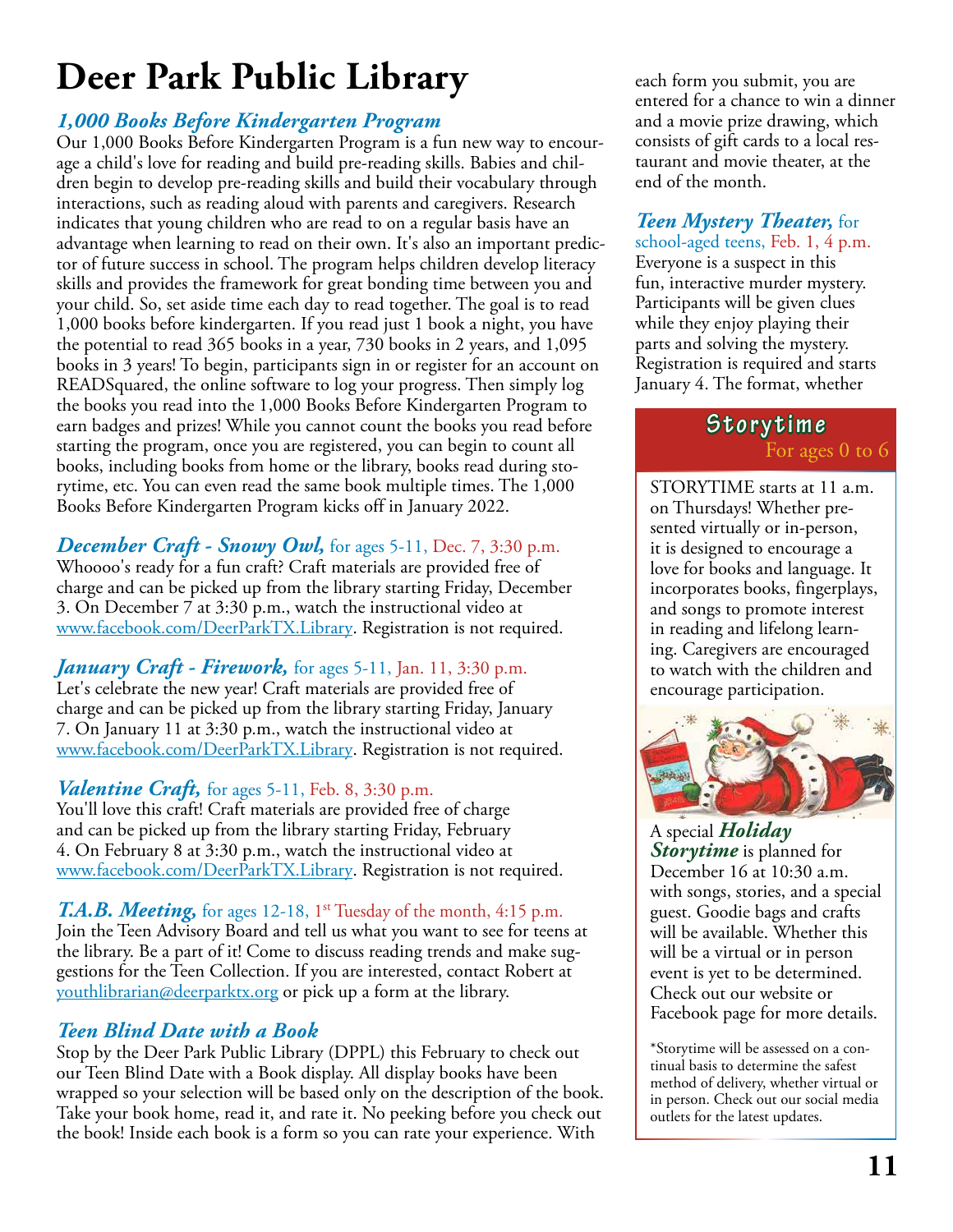# **Deer Park Public Library**

#### *1,000 Books Before Kindergarten Program*

Our 1,000 Books Before Kindergarten Program is a fun new way to encourage a child's love for reading and build pre-reading skills. Babies and children begin to develop pre-reading skills and build their vocabulary through interactions, such as reading aloud with parents and caregivers. Research indicates that young children who are read to on a regular basis have an advantage when learning to read on their own. It's also an important predictor of future success in school. The program helps children develop literacy skills and provides the framework for great bonding time between you and your child. So, set aside time each day to read together. The goal is to read 1,000 books before kindergarten. If you read just 1 book a night, you have the potential to read 365 books in a year, 730 books in 2 years, and 1,095 books in 3 years! To begin, participants sign in or register for an account on READSquared, the online software to log your progress. Then simply log the books you read into the 1,000 Books Before Kindergarten Program to earn badges and prizes! While you cannot count the books you read before starting the program, once you are registered, you can begin to count all books, including books from home or the library, books read during storytime, etc. You can even read the same book multiple times. The 1,000 Books Before Kindergarten Program kicks off in January 2022.

#### **December Craft - Snowy Owl,** for ages 5-11, Dec. 7, 3:30 p.m.

Whoooo's ready for a fun craft? Craft materials are provided free of charge and can be picked up from the library starting Friday, December 3. On December 7 at 3:30 p.m., watch the instructional video at www.facebook.com/DeerParkTX.Library. Registration is not required.

#### *January Craft - Firework,* for ages 5-11, Jan. 11, 3:30 p.m.

Let's celebrate the new year! Craft materials are provided free of charge and can be picked up from the library starting Friday, January 7. On January 11 at 3:30 p.m., watch the instructional video at www.facebook.com/DeerParkTX.Library. Registration is not required.

#### *Valentine Craft*, for ages 5-11, Feb. 8, 3:30 p.m.

You'll love this craft! Craft materials are provided free of charge and can be picked up from the library starting Friday, February 4. On February 8 at 3:30 p.m., watch the instructional video at www.facebook.com/DeerParkTX.Library. Registration is not required.

#### T.A.B. Meeting, for ages 12-18, 1<sup>st</sup> Tuesday of the month, 4:15 p.m.

Join the Teen Advisory Board and tell us what you want to see for teens at the library. Be a part of it! Come to discuss reading trends and make suggestions for the Teen Collection. If you are interested, contact Robert at youthlibrarian@deerparktx.org or pick up a form at the library.

#### *Teen Blind Date with a Book*

Stop by the Deer Park Public Library (DPPL) this February to check out our Teen Blind Date with a Book display. All display books have been wrapped so your selection will be based only on the description of the book. Take your book home, read it, and rate it. No peeking before you check out the book! Inside each book is a form so you can rate your experience. With

each form you submit, you are entered for a chance to win a dinner and a movie prize drawing, which consists of gift cards to a local restaurant and movie theater, at the end of the month.

#### *Teen Mystery Theater,* for

school-aged teens, Feb. 1, 4 p.m. Everyone is a suspect in this fun, interactive murder mystery. Participants will be given clues while they enjoy playing their parts and solving the mystery. Registration is required and starts January 4. The format, whether

#### **Storytime** For ages 0 to 6

STORYTIME starts at 11 a.m. on Thursdays! Whether presented virtually or in-person, it is designed to encourage a love for books and language. It incorporates books, fingerplays, and songs to promote interest in reading and lifelong learning. Caregivers are encouraged to watch with the children and encourage participation.



A special *Holiday Storytime* is planned for December 16 at 10:30 a.m. with songs, stories, and a special guest. Goodie bags and crafts will be available. Whether this will be a virtual or in person event is yet to be determined. Check out our website or Facebook page for more details.

\*Storytime will be assessed on a continual basis to determine the safest method of delivery, whether virtual or in person. Check out our social media outlets for the latest updates.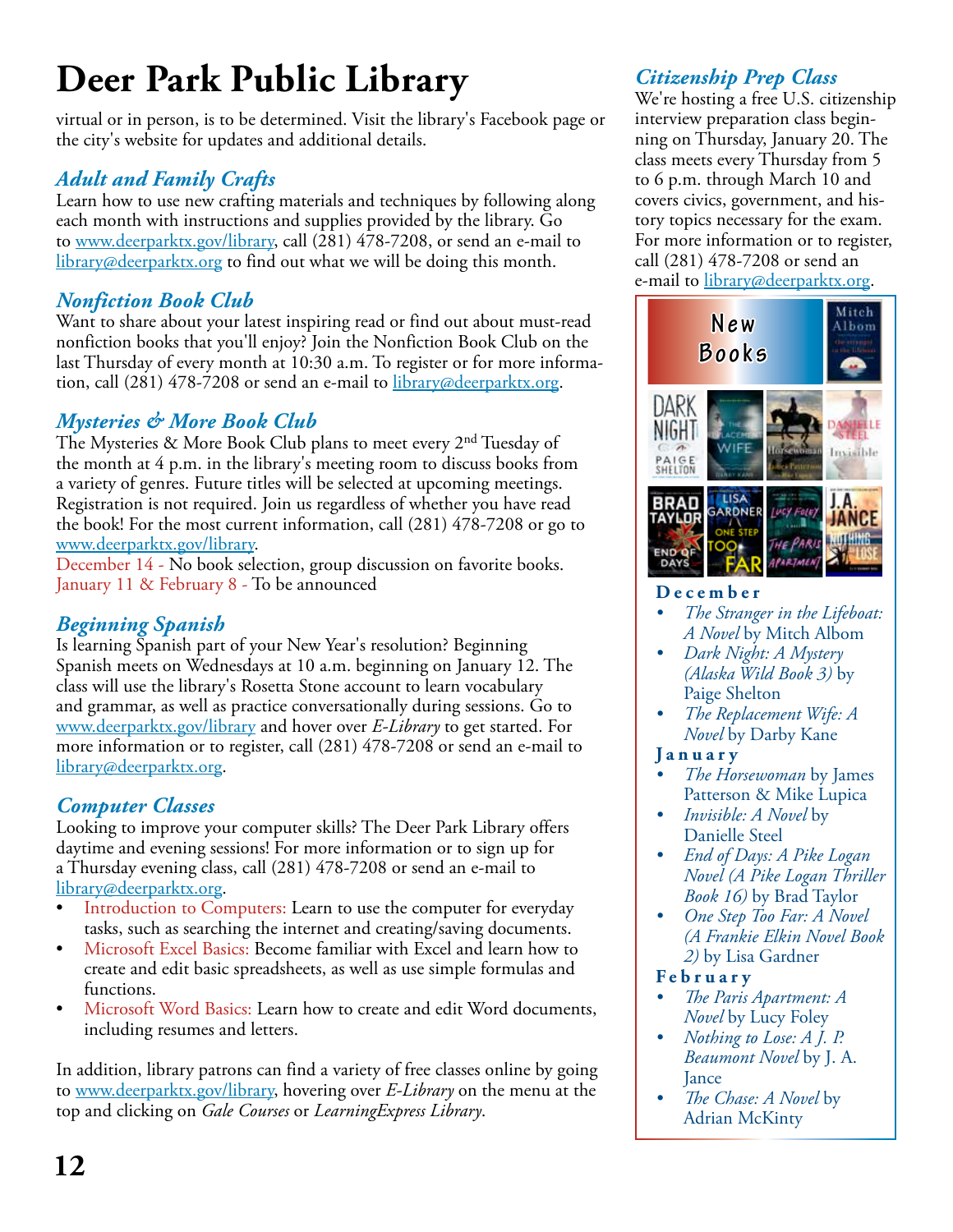# **Deer Park Public Library** *Citizenship Prep Class*

virtual or in person, is to be determined. Visit the library's Facebook page or the city's website for updates and additional details.

#### *Adult and Family Crafts*

Learn how to use new crafting materials and techniques by following along each month with instructions and supplies provided by the library. Go to www.deerparktx.gov/library, call (281) 478-7208, or send an e-mail to  $\frac{2 \text{1} \cdot \text{1}}{1 \cdot \text{1}}$  library@deerparktx.org to find out what we will be doing this month.

#### *Nonfiction Book Club*

Want to share about your latest inspiring read or find out about must-read nonfiction books that you'll enjoy? Join the Nonfiction Book Club on the last Thursday of every month at 10:30 a.m. To register or for more information, call (281) 478-7208 or send an e-mail to <u>library@deerparktx.org</u>.

#### *Mysteries & More Book Club*

The Mysteries & More Book Club plans to meet every 2<sup>nd</sup> Tuesday of the month at 4 p.m. in the library's meeting room to discuss books from a variety of genres. Future titles will be selected at upcoming meetings. Registration is not required. Join us regardless of whether you have read the book! For the most current information, call (281) 478-7208 or go to www.deerparktx.gov/library.

December 14 - No book selection, group discussion on favorite books. January 11 & February 8 - To be announced

#### *Beginning Spanish*

Is learning Spanish part of your New Year's resolution? Beginning Spanish meets on Wednesdays at 10 a.m. beginning on January 12. The class will use the library's Rosetta Stone account to learn vocabulary and grammar, as well as practice conversationally during sessions. Go to www.deerparktx.gov/library and hover over *E-Library* to get started. For more information or to register, call (281) 478-7208 or send an e-mail to library@deerparktx.org.

#### *Computer Classes*

Looking to improve your computer skills? The Deer Park Library offers daytime and evening sessions! For more information or to sign up for a Thursday evening class, call (281) 478-7208 or send an e-mail to library@deerparktx.org.

- Introduction to Computers: Learn to use the computer for everyday tasks, such as searching the internet and creating/saving documents.
- Microsoft Excel Basics: Become familiar with Excel and learn how to create and edit basic spreadsheets, as well as use simple formulas and functions.
- Microsoft Word Basics: Learn how to create and edit Word documents, including resumes and letters.

In addition, library patrons can find a variety of free classes online by going to www.deerparktx.gov/library, hovering over *E-Library* on the menu at the top and clicking on *Gale Courses* or *LearningExpress Library*.

We're hosting a free U.S. citizenship interview preparation class beginning on Thursday, January 20. The class meets every Thursday from 5 to 6 p.m. through March 10 and covers civics, government, and history topics necessary for the exam. For more information or to register, call (281) 478-7208 or send an e-mail to *library@deerparktx.org*.



#### **December**

- *• The Stranger in the Lifeboat: A Novel* by Mitch Albom
- *• Dark Night: A Mystery (Alaska Wild Book 3)* by Paige Shelton
- *• The Replacement Wife: A Novel* by Darby Kane

#### **January**

- *• The Horsewoman* by James Patterson & Mike Lupica
- *• Invisible: A Novel* by Danielle Steel
- *• End of Days: A Pike Logan Novel (A Pike Logan Thriller Book 16)* by Brad Taylor
- *• One Step Too Far: A Novel (A Frankie Elkin Novel Book 2)* by Lisa Gardner

#### **February**

- *• The Paris Apartment: A Novel* by Lucy Foley
- *• Nothing to Lose: A J. P. Beaumont Novel* by J. A. Jance
- *• The Chase: A Novel* by Adrian McKinty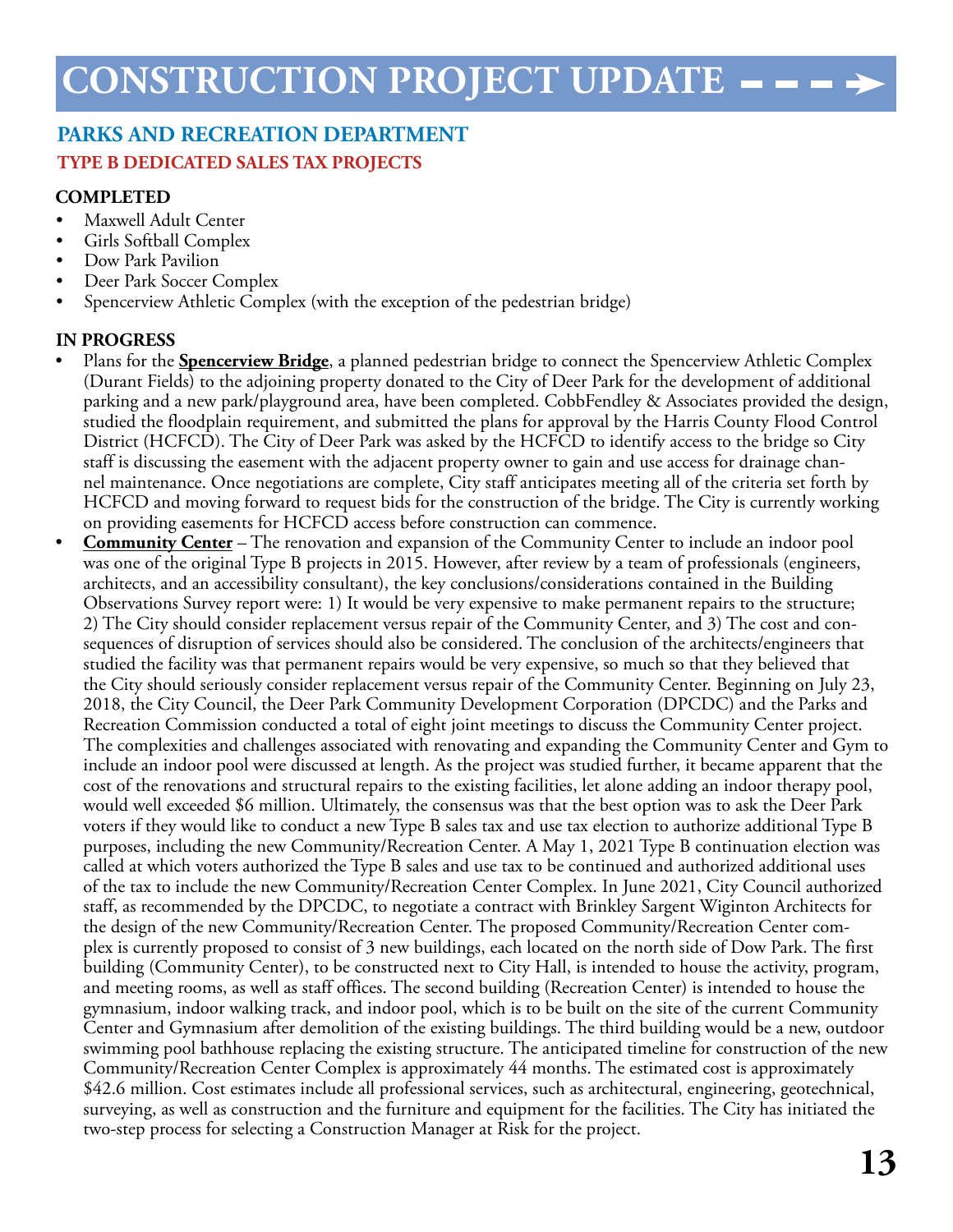#### **PARKS AND RECREATION DEPARTMENT TYPE B DEDICATED SALES TAX PROJECTS**

#### **COMPLETED**

- Maxwell Adult Center
- Girls Softball Complex
- Dow Park Pavilion
- Deer Park Soccer Complex
- Spencerview Athletic Complex (with the exception of the pedestrian bridge)

#### **IN PROGRESS**

- Plans for the **Spencerview Bridge**, a planned pedestrian bridge to connect the Spencerview Athletic Complex (Durant Fields) to the adjoining property donated to the City of Deer Park for the development of additional parking and a new park/playground area, have been completed. CobbFendley & Associates provided the design, studied the floodplain requirement, and submitted the plans for approval by the Harris County Flood Control District (HCFCD). The City of Deer Park was asked by the HCFCD to identify access to the bridge so City staff is discussing the easement with the adjacent property owner to gain and use access for drainage channel maintenance. Once negotiations are complete, City staff anticipates meeting all of the criteria set forth by HCFCD and moving forward to request bids for the construction of the bridge. The City is currently working on providing easements for HCFCD access before construction can commence.
- **Community Center** The renovation and expansion of the Community Center to include an indoor pool was one of the original Type B projects in 2015. However, after review by a team of professionals (engineers, architects, and an accessibility consultant), the key conclusions/considerations contained in the Building Observations Survey report were: 1) It would be very expensive to make permanent repairs to the structure; 2) The City should consider replacement versus repair of the Community Center, and 3) The cost and consequences of disruption of services should also be considered. The conclusion of the architects/engineers that studied the facility was that permanent repairs would be very expensive, so much so that they believed that the City should seriously consider replacement versus repair of the Community Center. Beginning on July 23, 2018, the City Council, the Deer Park Community Development Corporation (DPCDC) and the Parks and Recreation Commission conducted a total of eight joint meetings to discuss the Community Center project. The complexities and challenges associated with renovating and expanding the Community Center and Gym to include an indoor pool were discussed at length. As the project was studied further, it became apparent that the cost of the renovations and structural repairs to the existing facilities, let alone adding an indoor therapy pool, would well exceeded \$6 million. Ultimately, the consensus was that the best option was to ask the Deer Park voters if they would like to conduct a new Type B sales tax and use tax election to authorize additional Type B purposes, including the new Community/Recreation Center. A May 1, 2021 Type B continuation election was called at which voters authorized the Type B sales and use tax to be continued and authorized additional uses of the tax to include the new Community/Recreation Center Complex. In June 2021, City Council authorized staff, as recommended by the DPCDC, to negotiate a contract with Brinkley Sargent Wiginton Architects for the design of the new Community/Recreation Center. The proposed Community/Recreation Center complex is currently proposed to consist of 3 new buildings, each located on the north side of Dow Park. The first building (Community Center), to be constructed next to City Hall, is intended to house the activity, program, and meeting rooms, as well as staff offices. The second building (Recreation Center) is intended to house the gymnasium, indoor walking track, and indoor pool, which is to be built on the site of the current Community Center and Gymnasium after demolition of the existing buildings. The third building would be a new, outdoor swimming pool bathhouse replacing the existing structure. The anticipated timeline for construction of the new Community/Recreation Center Complex is approximately 44 months. The estimated cost is approximately \$42.6 million. Cost estimates include all professional services, such as architectural, engineering, geotechnical, surveying, as well as construction and the furniture and equipment for the facilities. The City has initiated the two-step process for selecting a Construction Manager at Risk for the project.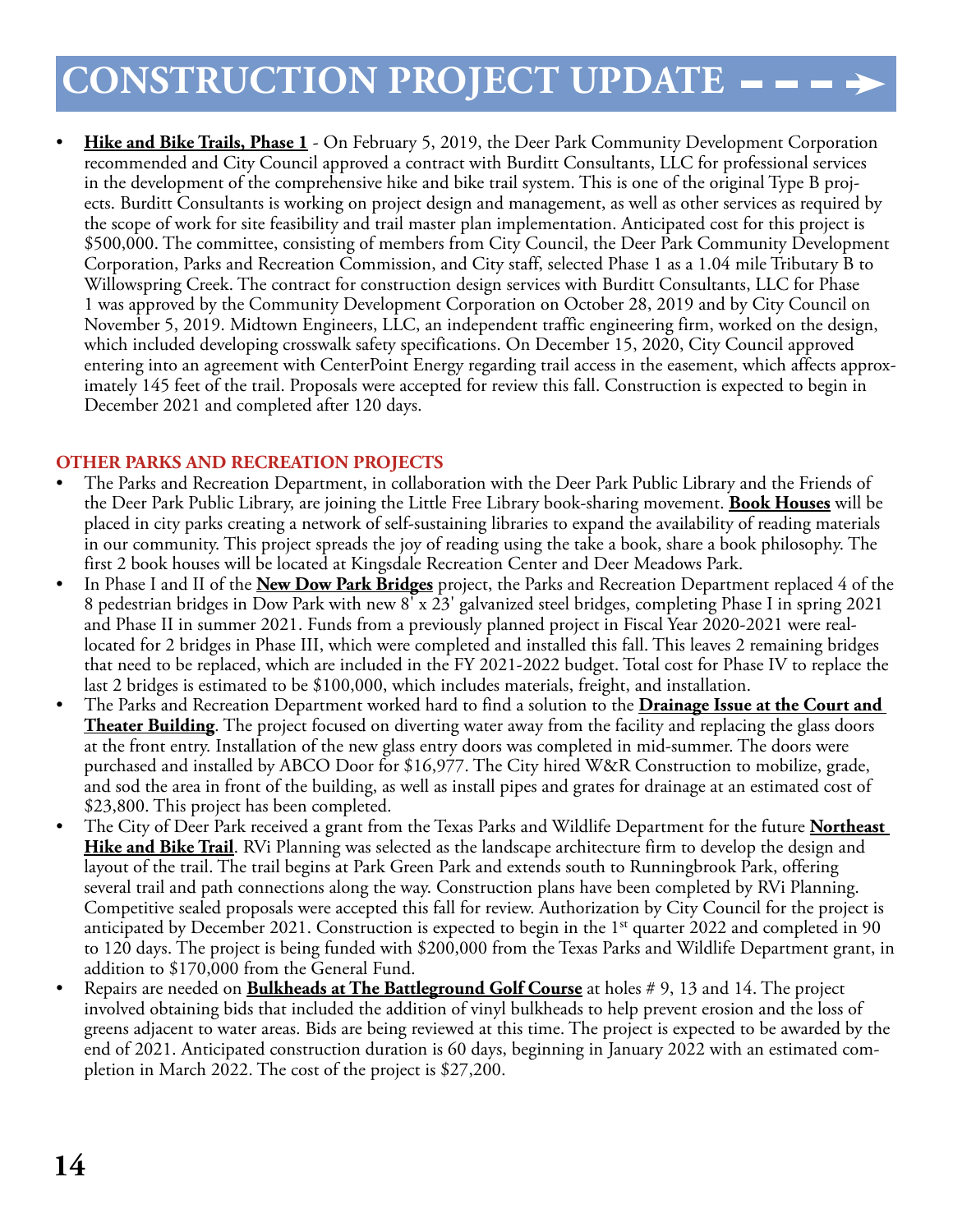### **CONSTRUCTION PROJECT UPDATE**

• **Hike and Bike Trails, Phase 1** - On February 5, 2019, the Deer Park Community Development Corporation recommended and City Council approved a contract with Burditt Consultants, LLC for professional services in the development of the comprehensive hike and bike trail system. This is one of the original Type B projects. Burditt Consultants is working on project design and management, as well as other services as required by the scope of work for site feasibility and trail master plan implementation. Anticipated cost for this project is \$500,000. The committee, consisting of members from City Council, the Deer Park Community Development Corporation, Parks and Recreation Commission, and City staff, selected Phase 1 as a 1.04 mile Tributary B to Willowspring Creek. The contract for construction design services with Burditt Consultants, LLC for Phase 1 was approved by the Community Development Corporation on October 28, 2019 and by City Council on November 5, 2019. Midtown Engineers, LLC, an independent traffic engineering firm, worked on the design, which included developing crosswalk safety specifications. On December 15, 2020, City Council approved entering into an agreement with CenterPoint Energy regarding trail access in the easement, which affects approximately 145 feet of the trail. Proposals were accepted for review this fall. Construction is expected to begin in December 2021 and completed after 120 days.

#### **OTHER PARKS AND RECREATION PROJECTS**

- The Parks and Recreation Department, in collaboration with the Deer Park Public Library and the Friends of the Deer Park Public Library, are joining the Little Free Library book-sharing movement. **Book Houses** will be placed in city parks creating a network of self-sustaining libraries to expand the availability of reading materials in our community. This project spreads the joy of reading using the take a book, share a book philosophy. The first 2 book houses will be located at Kingsdale Recreation Center and Deer Meadows Park.
- In Phase I and II of the **New Dow Park Bridges** project, the Parks and Recreation Department replaced 4 of the 8 pedestrian bridges in Dow Park with new 8' x 23' galvanized steel bridges, completing Phase I in spring 2021 and Phase II in summer 2021. Funds from a previously planned project in Fiscal Year 2020-2021 were reallocated for 2 bridges in Phase III, which were completed and installed this fall. This leaves 2 remaining bridges that need to be replaced, which are included in the FY 2021-2022 budget. Total cost for Phase IV to replace the last 2 bridges is estimated to be \$100,000, which includes materials, freight, and installation.
- The Parks and Recreation Department worked hard to find a solution to the **Drainage Issue at the Court and Theater Building**. The project focused on diverting water away from the facility and replacing the glass doors at the front entry. Installation of the new glass entry doors was completed in mid-summer. The doors were purchased and installed by ABCO Door for \$16,977. The City hired W&R Construction to mobilize, grade, and sod the area in front of the building, as well as install pipes and grates for drainage at an estimated cost of \$23,800. This project has been completed.
- The City of Deer Park received a grant from the Texas Parks and Wildlife Department for the future **Northeast Hike and Bike Trail**. RVi Planning was selected as the landscape architecture firm to develop the design and layout of the trail. The trail begins at Park Green Park and extends south to Runningbrook Park, offering several trail and path connections along the way. Construction plans have been completed by RVi Planning. Competitive sealed proposals were accepted this fall for review. Authorization by City Council for the project is anticipated by December 2021. Construction is expected to begin in the 1<sup>st</sup> quarter 2022 and completed in 90 to 120 days. The project is being funded with \$200,000 from the Texas Parks and Wildlife Department grant, in addition to \$170,000 from the General Fund.
- Repairs are needed on **Bulkheads at The Battleground Golf Course** at holes # 9, 13 and 14. The project involved obtaining bids that included the addition of vinyl bulkheads to help prevent erosion and the loss of greens adjacent to water areas. Bids are being reviewed at this time. The project is expected to be awarded by the end of 2021. Anticipated construction duration is 60 days, beginning in January 2022 with an estimated completion in March 2022. The cost of the project is \$27,200.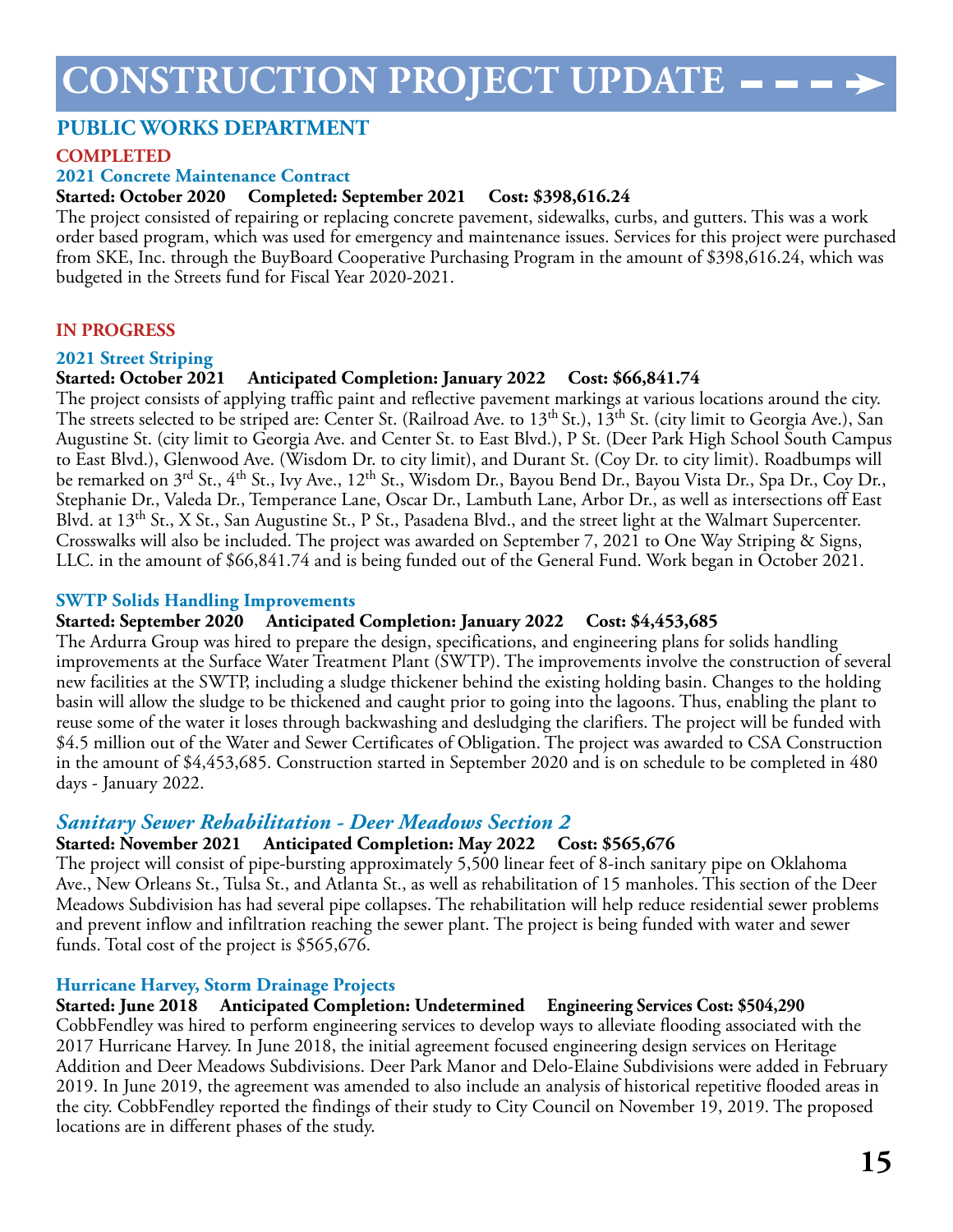### **CONSTRUCTION PROJECT UPDATE**

#### **PUBLIC WORKS DEPARTMENT**

#### **COMPLETED**

#### **2021 Concrete Maintenance Contract**

#### **Started: October 2020 Completed: September 2021 Cost: \$398,616.24**

The project consisted of repairing or replacing concrete pavement, sidewalks, curbs, and gutters. This was a work order based program, which was used for emergency and maintenance issues. Services for this project were purchased from SKE, Inc. through the BuyBoard Cooperative Purchasing Program in the amount of \$398,616.24, which was budgeted in the Streets fund for Fiscal Year 2020-2021.

#### **IN PROGRESS**

#### **2021 Street Striping**

#### **Started: October 2021 Anticipated Completion: January 2022 Cost: \$66,841.74**

The project consists of applying traffic paint and reflective pavement markings at various locations around the city. The streets selected to be striped are: Center St. (Railroad Ave. to 13<sup>th</sup> St.), 13<sup>th</sup> St. (city limit to Georgia Ave.), San Augustine St. (city limit to Georgia Ave. and Center St. to East Blvd.), P St. (Deer Park High School South Campus to East Blvd.), Glenwood Ave. (Wisdom Dr. to city limit), and Durant St. (Coy Dr. to city limit). Roadbumps will be remarked on 3<sup>rd</sup> St., 4<sup>th</sup> St., Ivy Ave., 12<sup>th</sup> St., Wisdom Dr., Bayou Bend Dr., Bayou Vista Dr., Spa Dr., Coy Dr., Stephanie Dr., Valeda Dr., Temperance Lane, Oscar Dr., Lambuth Lane, Arbor Dr., as well as intersections off East Blvd. at 13<sup>th</sup> St., X St., San Augustine St., P St., Pasadena Blvd., and the street light at the Walmart Supercenter. Crosswalks will also be included. The project was awarded on September 7, 2021 to One Way Striping & Signs, LLC. in the amount of \$66,841.74 and is being funded out of the General Fund. Work began in October 2021.

#### **SWTP Solids Handling Improvements**

#### **Started: September 2020 Anticipated Completion: January 2022 Cost: \$4,453,685**

The Ardurra Group was hired to prepare the design, specifications, and engineering plans for solids handling improvements at the Surface Water Treatment Plant (SWTP). The improvements involve the construction of several new facilities at the SWTP, including a sludge thickener behind the existing holding basin. Changes to the holding basin will allow the sludge to be thickened and caught prior to going into the lagoons. Thus, enabling the plant to reuse some of the water it loses through backwashing and desludging the clarifiers. The project will be funded with \$4.5 million out of the Water and Sewer Certificates of Obligation. The project was awarded to CSA Construction in the amount of \$4,453,685. Construction started in September 2020 and is on schedule to be completed in 480 days - January 2022.

#### *Sanitary Sewer Rehabilitation - Deer Meadows Section 2*

#### **Started: November 2021 Anticipated Completion: May 2022 Cost: \$565,676**

The project will consist of pipe-bursting approximately 5,500 linear feet of 8-inch sanitary pipe on Oklahoma Ave., New Orleans St., Tulsa St., and Atlanta St., as well as rehabilitation of 15 manholes. This section of the Deer Meadows Subdivision has had several pipe collapses. The rehabilitation will help reduce residential sewer problems and prevent inflow and infiltration reaching the sewer plant. The project is being funded with water and sewer funds. Total cost of the project is \$565,676.

#### **Hurricane Harvey, Storm Drainage Projects**

#### **Started: June 2018 Anticipated Completion: Undetermined Engineering Services Cost: \$504,290**

CobbFendley was hired to perform engineering services to develop ways to alleviate flooding associated with the 2017 Hurricane Harvey. In June 2018, the initial agreement focused engineering design services on Heritage Addition and Deer Meadows Subdivisions. Deer Park Manor and Delo-Elaine Subdivisions were added in February 2019. In June 2019, the agreement was amended to also include an analysis of historical repetitive flooded areas in the city. CobbFendley reported the findings of their study to City Council on November 19, 2019. The proposed locations are in different phases of the study.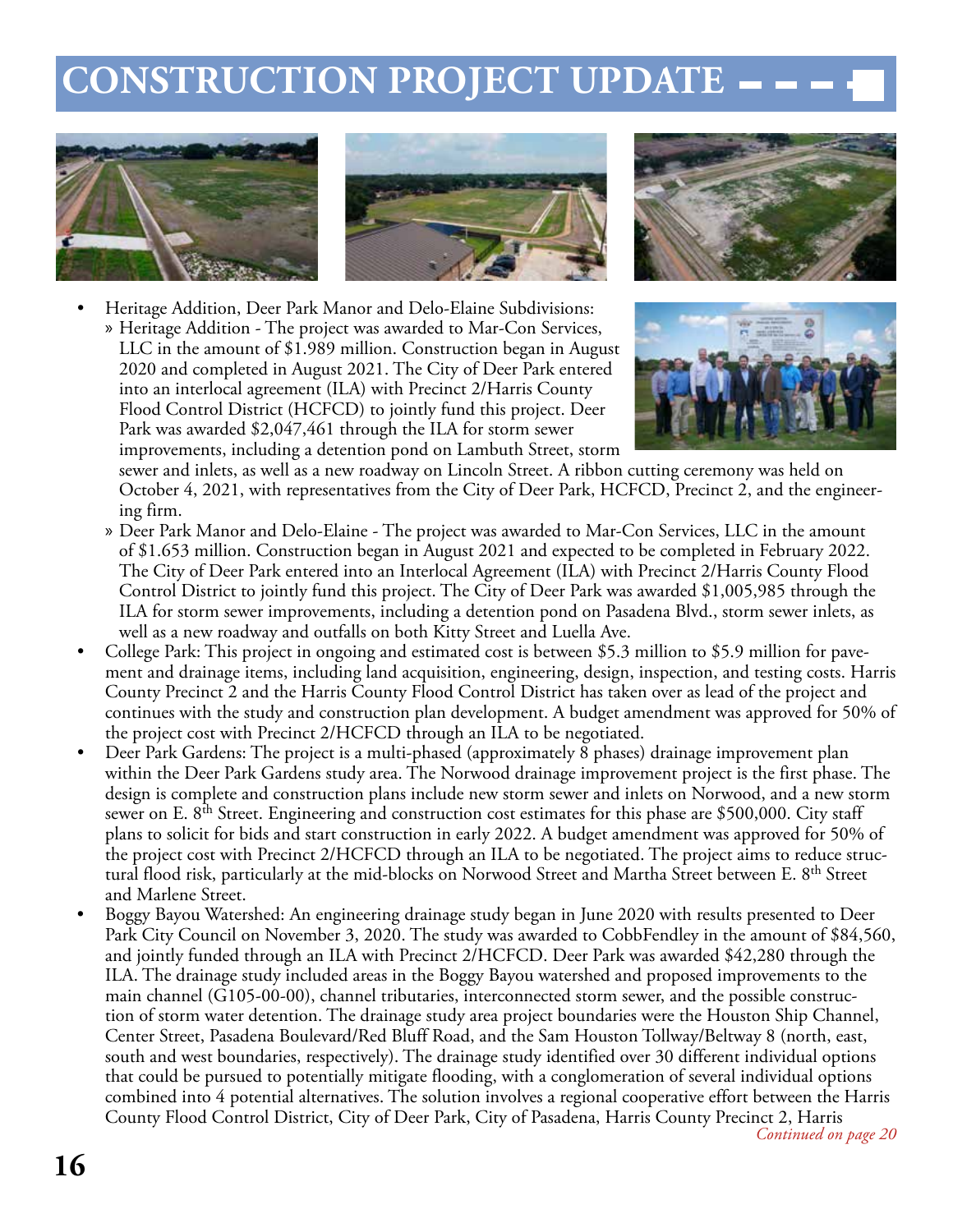### **CONSTRUCTION PROJECT UPDATE**





• Heritage Addition, Deer Park Manor and Delo-Elaine Subdivisions: » Heritage Addition - The project was awarded to Mar-Con Services, LLC in the amount of \$1.989 million. Construction began in August 2020 and completed in August 2021. The City of Deer Park entered into an interlocal agreement (ILA) with Precinct 2/Harris County

Flood Control District (HCFCD) to jointly fund this project. Deer Park was awarded \$2,047,461 through the ILA for storm sewer improvements, including a detention pond on Lambuth Street, storm





sewer and inlets, as well as a new roadway on Lincoln Street. A ribbon cutting ceremony was held on October 4, 2021, with representatives from the City of Deer Park, HCFCD, Precinct 2, and the engineering firm.

- » Deer Park Manor and Delo-Elaine The project was awarded to Mar-Con Services, LLC in the amount of \$1.653 million. Construction began in August 2021 and expected to be completed in February 2022. The City of Deer Park entered into an Interlocal Agreement (ILA) with Precinct 2/Harris County Flood Control District to jointly fund this project. The City of Deer Park was awarded \$1,005,985 through the ILA for storm sewer improvements, including a detention pond on Pasadena Blvd., storm sewer inlets, as well as a new roadway and outfalls on both Kitty Street and Luella Ave.
- College Park: This project in ongoing and estimated cost is between \$5.3 million to \$5.9 million for pavement and drainage items, including land acquisition, engineering, design, inspection, and testing costs. Harris County Precinct 2 and the Harris County Flood Control District has taken over as lead of the project and continues with the study and construction plan development. A budget amendment was approved for 50% of the project cost with Precinct 2/HCFCD through an ILA to be negotiated.
- Deer Park Gardens: The project is a multi-phased (approximately 8 phases) drainage improvement plan within the Deer Park Gardens study area. The Norwood drainage improvement project is the first phase. The design is complete and construction plans include new storm sewer and inlets on Norwood, and a new storm sewer on E. 8<sup>th</sup> Street. Engineering and construction cost estimates for this phase are \$500,000. City staff plans to solicit for bids and start construction in early 2022. A budget amendment was approved for 50% of the project cost with Precinct 2/HCFCD through an ILA to be negotiated. The project aims to reduce structural flood risk, particularly at the mid-blocks on Norwood Street and Martha Street between E. 8<sup>th</sup> Street and Marlene Street.
- Boggy Bayou Watershed: An engineering drainage study began in June 2020 with results presented to Deer Park City Council on November 3, 2020. The study was awarded to CobbFendley in the amount of \$84,560, and jointly funded through an ILA with Precinct 2/HCFCD. Deer Park was awarded \$42,280 through the ILA. The drainage study included areas in the Boggy Bayou watershed and proposed improvements to the main channel (G105-00-00), channel tributaries, interconnected storm sewer, and the possible construction of storm water detention. The drainage study area project boundaries were the Houston Ship Channel, Center Street, Pasadena Boulevard/Red Bluff Road, and the Sam Houston Tollway/Beltway 8 (north, east, south and west boundaries, respectively). The drainage study identified over 30 different individual options that could be pursued to potentially mitigate flooding, with a conglomeration of several individual options combined into 4 potential alternatives. The solution involves a regional cooperative effort between the Harris County Flood Control District, City of Deer Park, City of Pasadena, Harris County Precinct 2, Harris *Continued on page 20*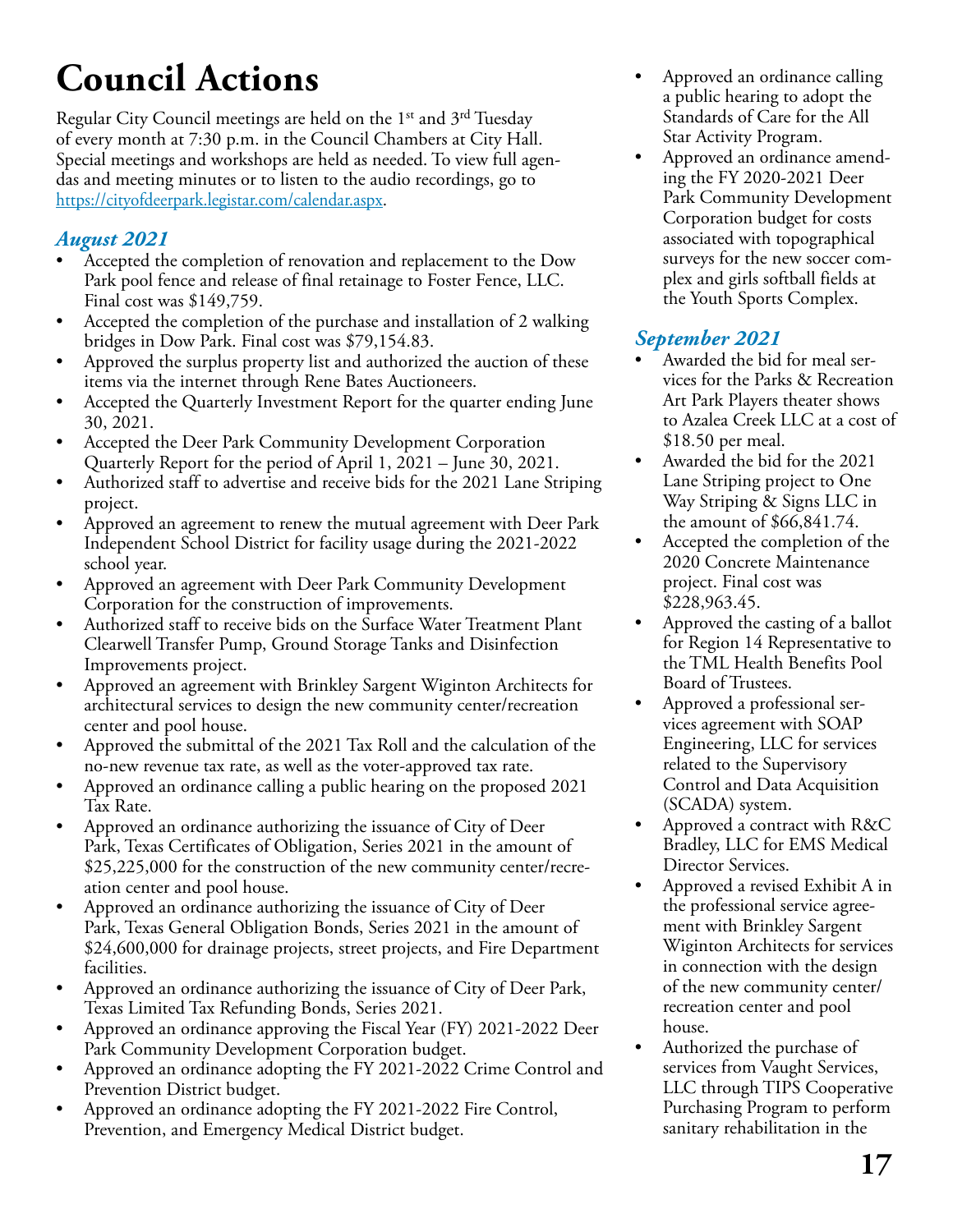# **Council Actions**

Regular City Council meetings are held on the 1<sup>st</sup> and 3<sup>rd</sup> Tuesday of every month at 7:30 p.m. in the Council Chambers at City Hall. Special meetings and workshops are held as needed. To view full agendas and meeting minutes or to listen to the audio recordings, go to https://cityofdeerpark.legistar.com/calendar.aspx.

#### *August 2021*

- Accepted the completion of renovation and replacement to the Dow Park pool fence and release of final retainage to Foster Fence, LLC. Final cost was \$149,759.
- Accepted the completion of the purchase and installation of 2 walking bridges in Dow Park. Final cost was \$79,154.83.
- Approved the surplus property list and authorized the auction of these items via the internet through Rene Bates Auctioneers.
- Accepted the Quarterly Investment Report for the quarter ending June 30, 2021.
- Accepted the Deer Park Community Development Corporation Quarterly Report for the period of April 1, 2021 – June 30, 2021.
- Authorized staff to advertise and receive bids for the 2021 Lane Striping project.
- Approved an agreement to renew the mutual agreement with Deer Park Independent School District for facility usage during the 2021-2022 school year.
- Approved an agreement with Deer Park Community Development Corporation for the construction of improvements.
- Authorized staff to receive bids on the Surface Water Treatment Plant Clearwell Transfer Pump, Ground Storage Tanks and Disinfection Improvements project.
- Approved an agreement with Brinkley Sargent Wiginton Architects for architectural services to design the new community center/recreation center and pool house.
- Approved the submittal of the 2021 Tax Roll and the calculation of the no-new revenue tax rate, as well as the voter-approved tax rate.
- Approved an ordinance calling a public hearing on the proposed 2021 Tax Rate.
- Approved an ordinance authorizing the issuance of City of Deer Park, Texas Certificates of Obligation, Series 2021 in the amount of \$25,225,000 for the construction of the new community center/recreation center and pool house.
- Approved an ordinance authorizing the issuance of City of Deer Park, Texas General Obligation Bonds, Series 2021 in the amount of \$24,600,000 for drainage projects, street projects, and Fire Department facilities.
- Approved an ordinance authorizing the issuance of City of Deer Park, Texas Limited Tax Refunding Bonds, Series 2021.
- Approved an ordinance approving the Fiscal Year (FY) 2021-2022 Deer Park Community Development Corporation budget.
- Approved an ordinance adopting the FY 2021-2022 Crime Control and Prevention District budget.
- Approved an ordinance adopting the FY 2021-2022 Fire Control, Prevention, and Emergency Medical District budget.
- Approved an ordinance calling a public hearing to adopt the Standards of Care for the All Star Activity Program.
- Approved an ordinance amending the FY 2020-2021 Deer Park Community Development Corporation budget for costs associated with topographical surveys for the new soccer complex and girls softball fields at the Youth Sports Complex.

#### *September 2021*

- Awarded the bid for meal services for the Parks & Recreation Art Park Players theater shows to Azalea Creek LLC at a cost of \$18.50 per meal.
- Awarded the bid for the 2021 Lane Striping project to One Way Striping & Signs LLC in the amount of \$66,841.74.
- Accepted the completion of the 2020 Concrete Maintenance project. Final cost was \$228,963.45.
- Approved the casting of a ballot for Region 14 Representative to the TML Health Benefits Pool Board of Trustees.
- Approved a professional services agreement with SOAP Engineering, LLC for services related to the Supervisory Control and Data Acquisition (SCADA) system.
- Approved a contract with R&C Bradley, LLC for EMS Medical Director Services.
- Approved a revised Exhibit A in the professional service agreement with Brinkley Sargent Wiginton Architects for services in connection with the design of the new community center/ recreation center and pool house.
- Authorized the purchase of services from Vaught Services, LLC through TIPS Cooperative Purchasing Program to perform sanitary rehabilitation in the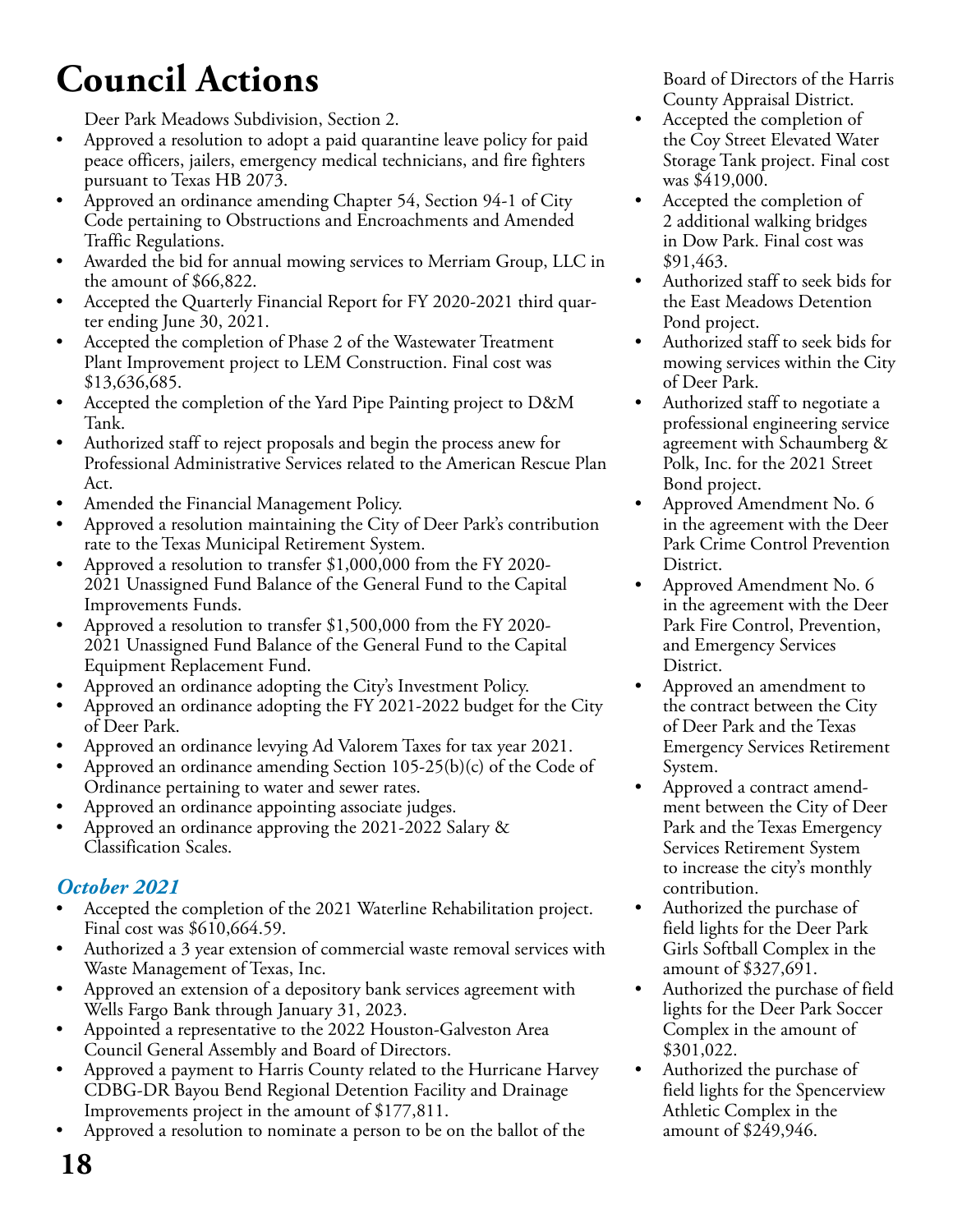# **Council Actions**

Deer Park Meadows Subdivision, Section 2.

- Approved a resolution to adopt a paid quarantine leave policy for paid peace officers, jailers, emergency medical technicians, and fire fighters pursuant to Texas HB 2073.
- Approved an ordinance amending Chapter 54, Section 94-1 of City Code pertaining to Obstructions and Encroachments and Amended Traffic Regulations.
- Awarded the bid for annual mowing services to Merriam Group, LLC in the amount of \$66,822.
- Accepted the Quarterly Financial Report for FY 2020-2021 third quarter ending June 30, 2021.
- Accepted the completion of Phase 2 of the Wastewater Treatment Plant Improvement project to LEM Construction. Final cost was \$13,636,685.
- Accepted the completion of the Yard Pipe Painting project to D&M Tank.
- Authorized staff to reject proposals and begin the process anew for Professional Administrative Services related to the American Rescue Plan Act.
- Amended the Financial Management Policy.
- Approved a resolution maintaining the City of Deer Park's contribution rate to the Texas Municipal Retirement System.
- Approved a resolution to transfer \$1,000,000 from the FY 2020- 2021 Unassigned Fund Balance of the General Fund to the Capital Improvements Funds.
- Approved a resolution to transfer \$1,500,000 from the FY 2020- 2021 Unassigned Fund Balance of the General Fund to the Capital Equipment Replacement Fund.
- Approved an ordinance adopting the City's Investment Policy.
- Approved an ordinance adopting the FY 2021-2022 budget for the City of Deer Park.
- Approved an ordinance levying Ad Valorem Taxes for tax year 2021.
- Approved an ordinance amending Section  $105-25(b)(c)$  of the Code of Ordinance pertaining to water and sewer rates.
- Approved an ordinance appointing associate judges.
- Approved an ordinance approving the 2021-2022 Salary & Classification Scales.

#### *October 2021*

- Accepted the completion of the 2021 Waterline Rehabilitation project. Final cost was \$610,664.59.
- Authorized a 3 year extension of commercial waste removal services with Waste Management of Texas, Inc.
- Approved an extension of a depository bank services agreement with Wells Fargo Bank through January 31, 2023.
- Appointed a representative to the 2022 Houston-Galveston Area Council General Assembly and Board of Directors.
- Approved a payment to Harris County related to the Hurricane Harvey CDBG-DR Bayou Bend Regional Detention Facility and Drainage Improvements project in the amount of \$177,811.
- Approved a resolution to nominate a person to be on the ballot of the

Board of Directors of the Harris County Appraisal District.

- Accepted the completion of the Coy Street Elevated Water Storage Tank project. Final cost was \$419,000.
- Accepted the completion of 2 additional walking bridges in Dow Park. Final cost was \$91,463.
- Authorized staff to seek bids for the East Meadows Detention Pond project.
- Authorized staff to seek bids for mowing services within the City of Deer Park.
- Authorized staff to negotiate a professional engineering service agreement with Schaumberg & Polk, Inc. for the 2021 Street Bond project.
- Approved Amendment No. 6 in the agreement with the Deer Park Crime Control Prevention District.
- Approved Amendment No. 6 in the agreement with the Deer Park Fire Control, Prevention, and Emergency Services District.
- Approved an amendment to the contract between the City of Deer Park and the Texas Emergency Services Retirement System.
- Approved a contract amendment between the City of Deer Park and the Texas Emergency Services Retirement System to increase the city's monthly contribution.
- Authorized the purchase of field lights for the Deer Park Girls Softball Complex in the amount of \$327,691.
- Authorized the purchase of field lights for the Deer Park Soccer Complex in the amount of \$301,022.
- Authorized the purchase of field lights for the Spencerview Athletic Complex in the amount of \$249,946.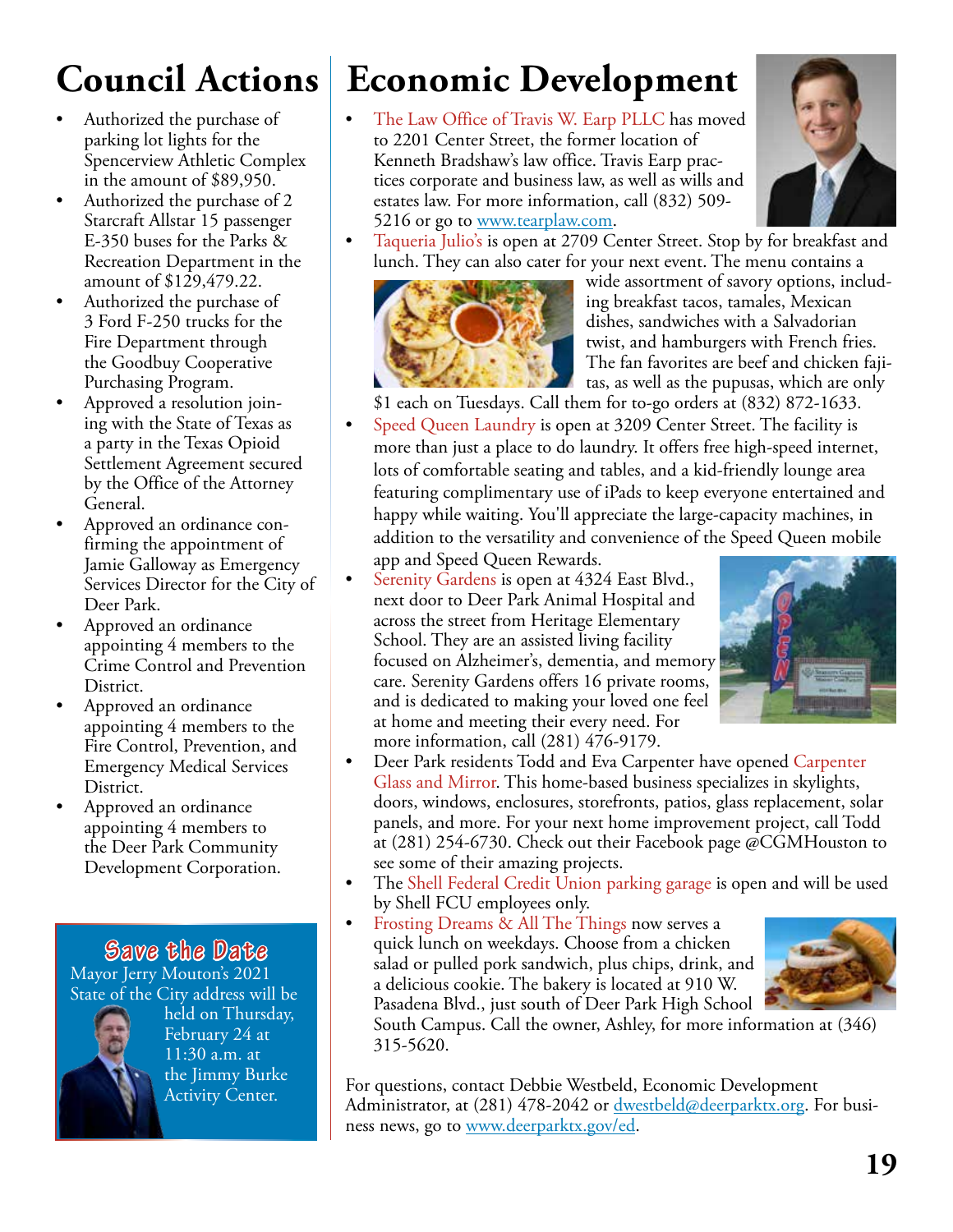# **Council Actions**

- Authorized the purchase of parking lot lights for the Spencerview Athletic Complex in the amount of \$89,950.
- Authorized the purchase of 2 Starcraft Allstar 15 passenger E-350 buses for the Parks & Recreation Department in the amount of \$129,479.22.
- Authorized the purchase of 3 Ford F-250 trucks for the Fire Department through the Goodbuy Cooperative Purchasing Program.
- Approved a resolution joining with the State of Texas as a party in the Texas Opioid Settlement Agreement secured by the Office of the Attorney General.
- Approved an ordinance confirming the appointment of Jamie Galloway as Emergency Services Director for the City of Deer Park.
- Approved an ordinance appointing 4 members to the Crime Control and Prevention District.
- Approved an ordinance appointing 4 members to the Fire Control, Prevention, and Emergency Medical Services District.
- Approved an ordinance appointing 4 members to the Deer Park Community Development Corporation.

**Save the Date** Mayor Jerry Mouton's 2021 State of the City address will be



held on Thursday, February 24 at 11:30 a.m. at the Jimmy Burke Activity Center.

# **Economic Development**

The Law Office of Travis W. Earp PLLC has moved to 2201 Center Street, the former location of Kenneth Bradshaw's law office. Travis Earp practices corporate and business law, as well as wills and estates law. For more information, call (832) 509- 5216 or go to www.tearplaw.com.



• Taqueria Julio's is open at 2709 Center Street. Stop by for breakfast and lunch. They can also cater for your next event. The menu contains a



wide assortment of savory options, including breakfast tacos, tamales, Mexican dishes, sandwiches with a Salvadorian twist, and hamburgers with French fries. The fan favorites are beef and chicken fajitas, as well as the pupusas, which are only

\$1 each on Tuesdays. Call them for to-go orders at (832) 872-1633.

- Speed Queen Laundry is open at 3209 Center Street. The facility is more than just a place to do laundry. It offers free high-speed internet, lots of comfortable seating and tables, and a kid-friendly lounge area featuring complimentary use of iPads to keep everyone entertained and happy while waiting. You'll appreciate the large-capacity machines, in addition to the versatility and convenience of the Speed Queen mobile app and Speed Queen Rewards.
- Serenity Gardens is open at 4324 East Blvd., next door to Deer Park Animal Hospital and across the street from Heritage Elementary School. They are an assisted living facility focused on Alzheimer's, dementia, and memory care. Serenity Gardens offers 16 private rooms, and is dedicated to making your loved one feel at home and meeting their every need. For more information, call (281) 476-9179.



- Deer Park residents Todd and Eva Carpenter have opened Carpenter Glass and Mirror. This home-based business specializes in skylights, doors, windows, enclosures, storefronts, patios, glass replacement, solar panels, and more. For your next home improvement project, call Todd at (281) 254-6730. Check out their Facebook page @CGMHouston to see some of their amazing projects.
- The Shell Federal Credit Union parking garage is open and will be used by Shell FCU employees only.
- Frosting Dreams & All The Things now serves a quick lunch on weekdays. Choose from a chicken salad or pulled pork sandwich, plus chips, drink, and a delicious cookie. The bakery is located at 910 W. Pasadena Blvd., just south of Deer Park High School



South Campus. Call the owner, Ashley, for more information at (346) 315-5620.

For questions, contact Debbie Westbeld, Economic Development Administrator, at (281) 478-2042 or dwestbeld@deerparktx.org. For business news, go to www.deerparktx.gov/ed.